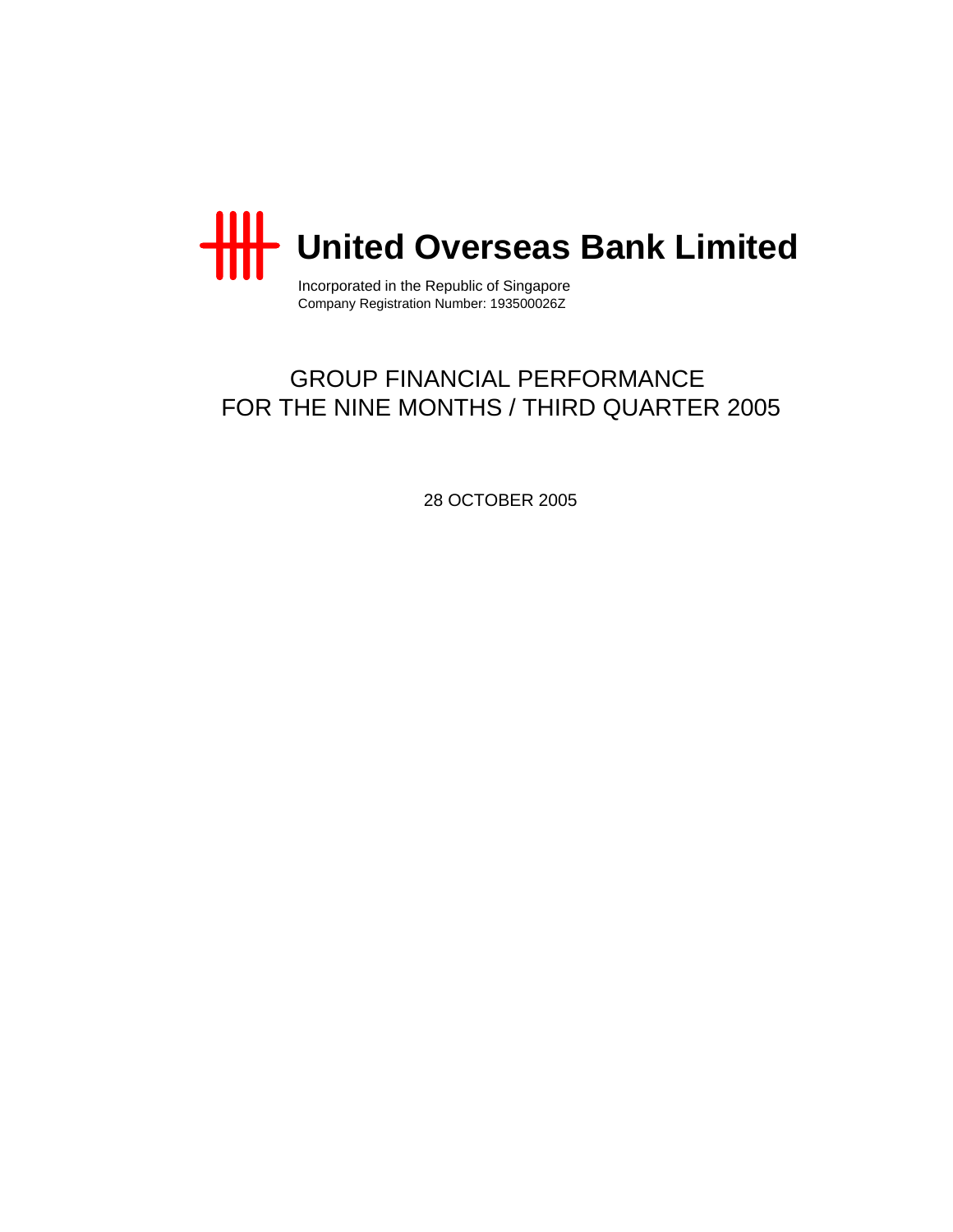

Incorporated in the Republic of Singapore Company Registration Number: 193500026Z

# GROUP FINANCIAL PERFORMANCE FOR THE NINE MONTHS / THIRD QUARTER 2005

28 OCTOBER 2005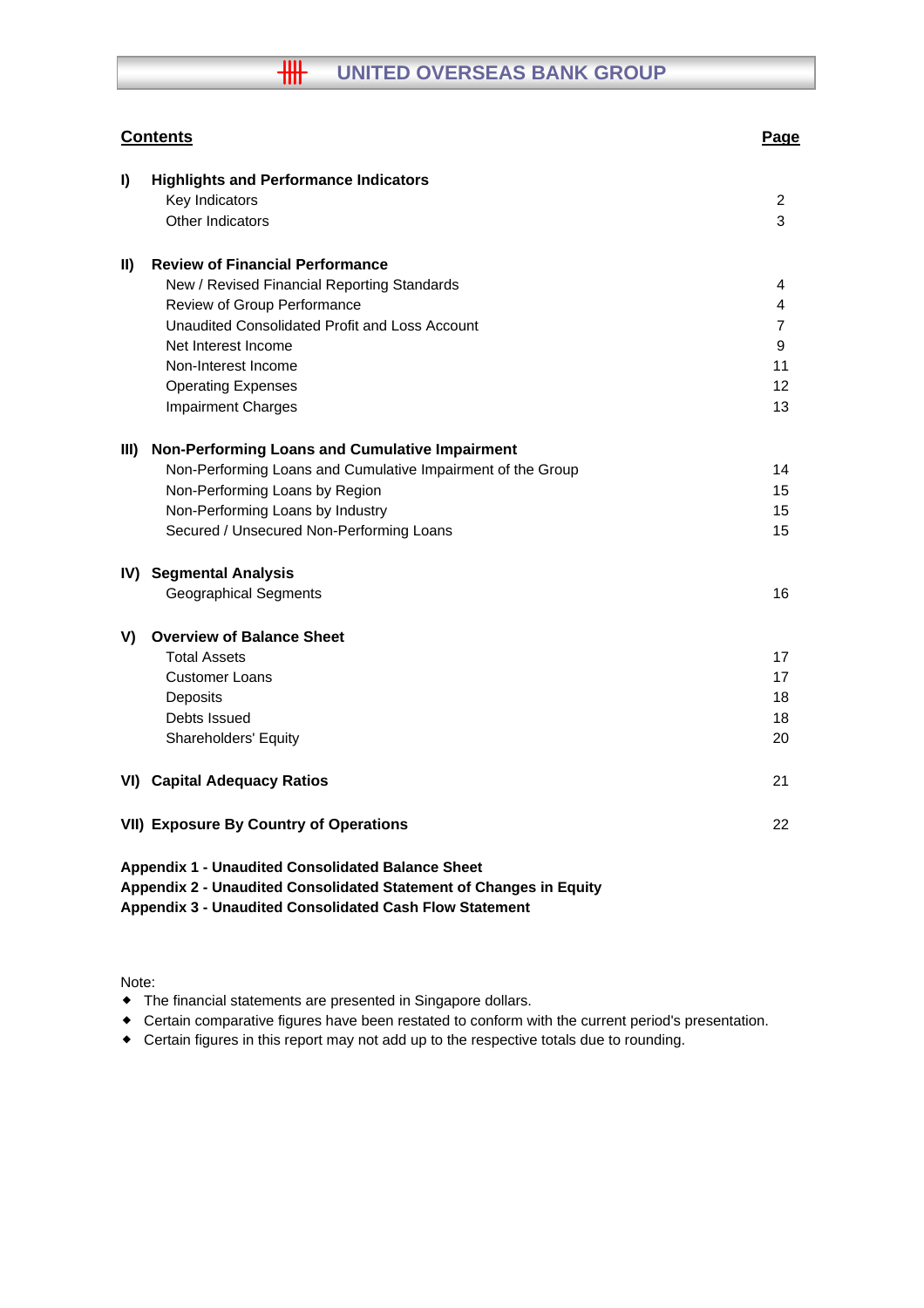# **HH UNITED OVERSEAS BANK GROUP**

| <b>Contents</b>                                                                                                                | Page           |
|--------------------------------------------------------------------------------------------------------------------------------|----------------|
| I)<br><b>Highlights and Performance Indicators</b>                                                                             |                |
| Key Indicators                                                                                                                 | 2              |
| <b>Other Indicators</b>                                                                                                        | 3              |
| <b>Review of Financial Performance</b><br>$\mathbf{II}$                                                                        |                |
| New / Revised Financial Reporting Standards                                                                                    | 4              |
| Review of Group Performance                                                                                                    | 4              |
| Unaudited Consolidated Profit and Loss Account                                                                                 | $\overline{7}$ |
| Net Interest Income                                                                                                            | 9              |
| Non-Interest Income                                                                                                            | 11             |
| <b>Operating Expenses</b>                                                                                                      | 12             |
| <b>Impairment Charges</b>                                                                                                      | 13             |
| Non-Performing Loans and Cumulative Impairment<br>III)                                                                         |                |
| Non-Performing Loans and Cumulative Impairment of the Group                                                                    | 14             |
| Non-Performing Loans by Region                                                                                                 | 15             |
| Non-Performing Loans by Industry                                                                                               | 15             |
| Secured / Unsecured Non-Performing Loans                                                                                       | 15             |
| IV) Segmental Analysis                                                                                                         |                |
| <b>Geographical Segments</b>                                                                                                   | 16             |
| <b>Overview of Balance Sheet</b><br>V)                                                                                         |                |
| <b>Total Assets</b>                                                                                                            | 17             |
| <b>Customer Loans</b>                                                                                                          | 17             |
| Deposits                                                                                                                       | 18             |
| Debts Issued                                                                                                                   | 18             |
| Shareholders' Equity                                                                                                           | 20             |
| <b>VI) Capital Adequacy Ratios</b>                                                                                             | 21             |
| <b>VII) Exposure By Country of Operations</b>                                                                                  | 22             |
| <b>Appendix 1 - Unaudited Consolidated Balance Sheet</b><br>Appendix 2 - Unaudited Consolidated Statement of Changes in Equity |                |

**Appendix 3 - Unaudited Consolidated Cash Flow Statement**

Note:

- The financial statements are presented in Singapore dollars.
- Certain comparative figures have been restated to conform with the current period's presentation.
- Certain figures in this report may not add up to the respective totals due to rounding.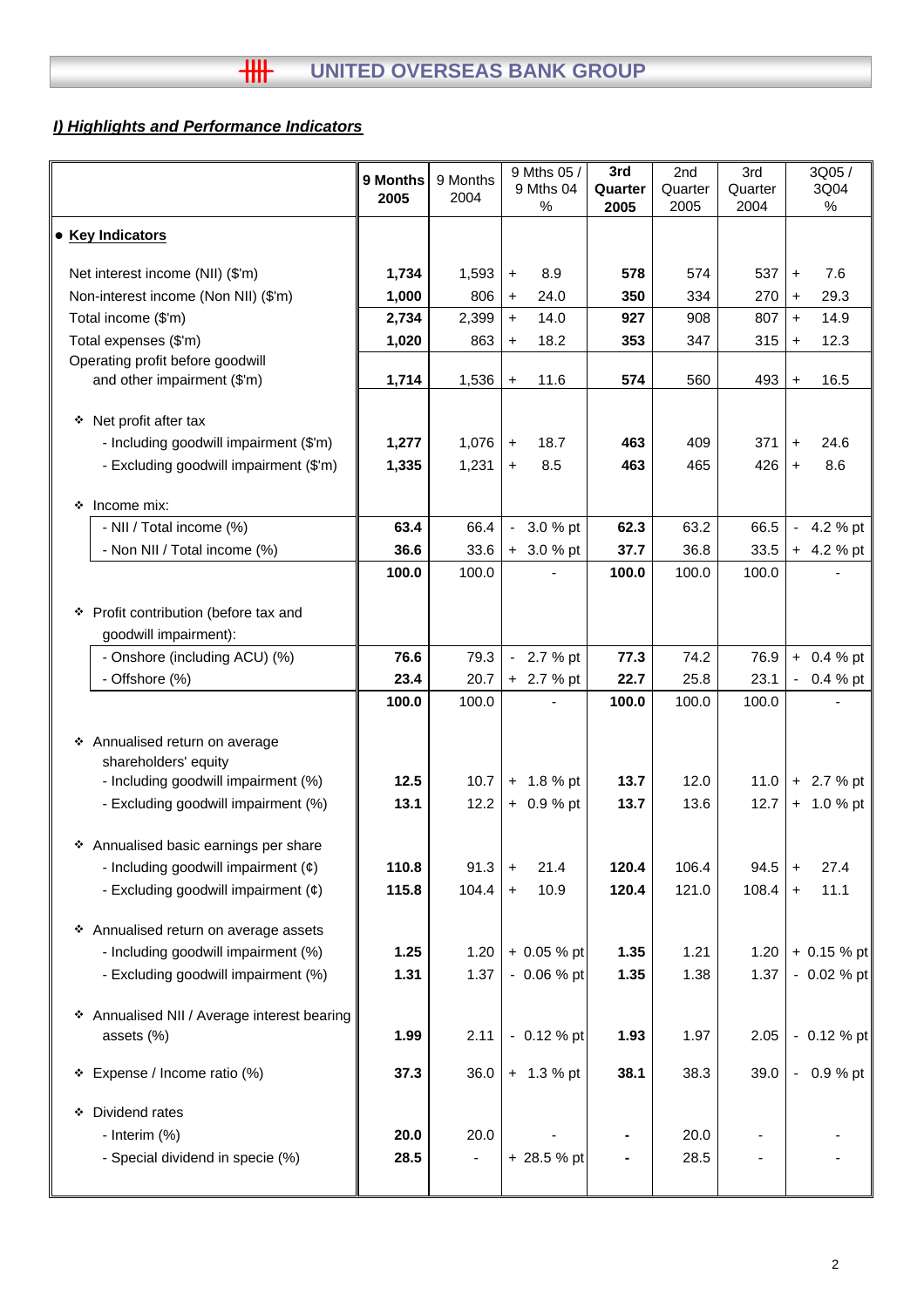## *I) Highlights and Performance Indicators*

|   |                                                             | 9 Months<br>2005 | 9 Months<br>2004 |                | 9 Mths 05 /<br>9 Mths 04<br>$\%$ | 3rd<br>Quarter<br>2005 | 2nd<br>Quarter<br>2005 | 3rd<br>Quarter<br>2004 |           | 3Q05/<br>3Q04<br>% |
|---|-------------------------------------------------------------|------------------|------------------|----------------|----------------------------------|------------------------|------------------------|------------------------|-----------|--------------------|
|   | • Key Indicators                                            |                  |                  |                |                                  |                        |                        |                        |           |                    |
|   | Net interest income (NII) (\$'m)                            | 1,734            | 1,593            | $\ddot{}$      | 8.9                              | 578                    | 574                    | 537                    | $+$       | 7.6                |
|   | Non-interest income (Non NII) (\$'m)                        | 1,000            | 806              | $\ddot{}$      | 24.0                             | 350                    | 334                    | 270                    | $\ddot{}$ | 29.3               |
|   | Total income (\$'m)                                         | 2,734            | 2,399            | $+$            | 14.0                             | 927                    | 908                    | 807                    | $+$       | 14.9               |
|   | Total expenses (\$'m)                                       | 1,020            | 863              | $\ddot{}$      | 18.2                             | 353                    | 347                    | 315                    | $+$       | 12.3               |
|   | Operating profit before goodwill                            |                  |                  |                |                                  |                        |                        |                        |           |                    |
|   | and other impairment (\$'m)                                 | 1,714            | 1,536            | $\ddot{}$      | 11.6                             | 574                    | 560                    | 493                    | $+$       | 16.5               |
| ❖ | Net profit after tax                                        |                  |                  |                |                                  |                        |                        |                        |           |                    |
|   | - Including goodwill impairment (\$'m)                      | 1,277            | 1,076            | $+$            | 18.7                             | 463                    | 409                    | 371                    | $+$       | 24.6               |
|   | - Excluding goodwill impairment (\$'m)                      | 1,335            | 1,231            | $\ddot{}$      | 8.5                              | 463                    | 465                    | 426                    | $+$       | 8.6                |
|   |                                                             |                  |                  |                |                                  |                        |                        |                        |           |                    |
| ❖ | Income mix:                                                 |                  |                  |                |                                  |                        |                        |                        |           |                    |
|   | - NII / Total income (%)                                    | 63.4             | 66.4             | $\blacksquare$ | 3.0 % pt                         | 62.3                   | 63.2                   | 66.5                   |           | 4.2 % pt           |
|   | - Non NII / Total income (%)                                | 36.6             | 33.6             |                | $+3.0%$ pt                       | 37.7                   | 36.8                   | 33.5                   |           | $+ 4.2 %$ pt       |
|   |                                                             | 100.0            | 100.0            |                |                                  | 100.0                  | 100.0                  | 100.0                  |           |                    |
|   | * Profit contribution (before tax and                       |                  |                  |                |                                  |                        |                        |                        |           |                    |
|   | goodwill impairment):                                       |                  |                  |                |                                  |                        |                        |                        |           |                    |
|   | - Onshore (including ACU) (%)                               | 76.6             | 79.3             |                | $-2.7%$ pt                       | 77.3                   | 74.2                   | 76.9                   |           | $+ 0.4 %$ pt       |
|   | - Offshore (%)                                              | 23.4             | 20.7             |                | + 2.7 % pt                       | 22.7                   | 25.8                   | 23.1                   |           | $-0.4%$ pt         |
|   |                                                             | 100.0            | 100.0            |                |                                  | 100.0                  | 100.0                  | 100.0                  |           |                    |
|   |                                                             |                  |                  |                |                                  |                        |                        |                        |           |                    |
|   | ❖ Annualised return on average                              |                  |                  |                |                                  |                        |                        |                        |           |                    |
|   | shareholders' equity<br>- Including goodwill impairment (%) | 12.5             | 10.7             |                | $+ 1.8 %$ pt                     | 13.7                   | 12.0                   | 11.0                   |           | $+ 2.7 %$ pt       |
|   | - Excluding goodwill impairment (%)                         | 13.1             | 12.2             |                | $+ 0.9 %$ pt                     | 13.7                   | 13.6                   | 12.7                   |           | $+ 1.0 %$ pt       |
|   |                                                             |                  |                  |                |                                  |                        |                        |                        |           |                    |
|   | * Annualised basic earnings per share                       |                  |                  |                |                                  |                        |                        |                        |           |                    |
|   | - Including goodwill impairment $(e)$                       | 110.8            | 91.3             | $\ddot{}$      | 21.4                             | 120.4                  | 106.4                  | 94.5                   | $\ddot{}$ | 27.4               |
|   | - Excluding goodwill impairment $(e)$                       | 115.8            | 104.4            | $\ddot{}$      | 10.9                             | 120.4                  | 121.0                  | 108.4                  | $\pm$     | 11.1               |
|   |                                                             |                  |                  |                |                                  |                        |                        |                        |           |                    |
|   | * Annualised return on average assets                       |                  |                  |                |                                  |                        |                        |                        |           |                    |
|   | - Including goodwill impairment (%)                         | 1.25             | 1.20             |                | $+0.05%$ pt                      | 1.35                   | 1.21                   | 1.20                   |           | $+ 0.15 %$ pt      |
|   | - Excluding goodwill impairment (%)                         | 1.31             | 1.37             |                | $-0.06%$ pt                      | 1.35                   | 1.38                   | 1.37                   |           | $-0.02%$ pt        |
|   | * Annualised NII / Average interest bearing                 |                  |                  |                |                                  |                        |                        |                        |           |                    |
|   | assets (%)                                                  | 1.99             | 2.11             |                | $-0.12 \%$ pt                    | 1.93                   | 1.97                   | 2.05                   |           | $-0.12 \%$ pt      |
|   |                                                             |                  |                  |                |                                  |                        |                        |                        |           |                    |
|   | * Expense / Income ratio (%)                                | 37.3             | 36.0             |                | $+ 1.3 %$ pt                     | 38.1                   | 38.3                   | 39.0                   |           | $-0.9%$ pt         |
|   | Dividend rates                                              |                  |                  |                |                                  |                        |                        |                        |           |                    |
| ۰ | - Interim (%)                                               | 20.0             | 20.0             |                |                                  |                        | 20.0                   |                        |           |                    |
|   | - Special dividend in specie (%)                            | 28.5             |                  |                | + 28.5 % pt                      | ۰                      | 28.5                   |                        |           |                    |
|   |                                                             |                  |                  |                |                                  |                        |                        |                        |           |                    |
|   |                                                             |                  |                  |                |                                  |                        |                        |                        |           |                    |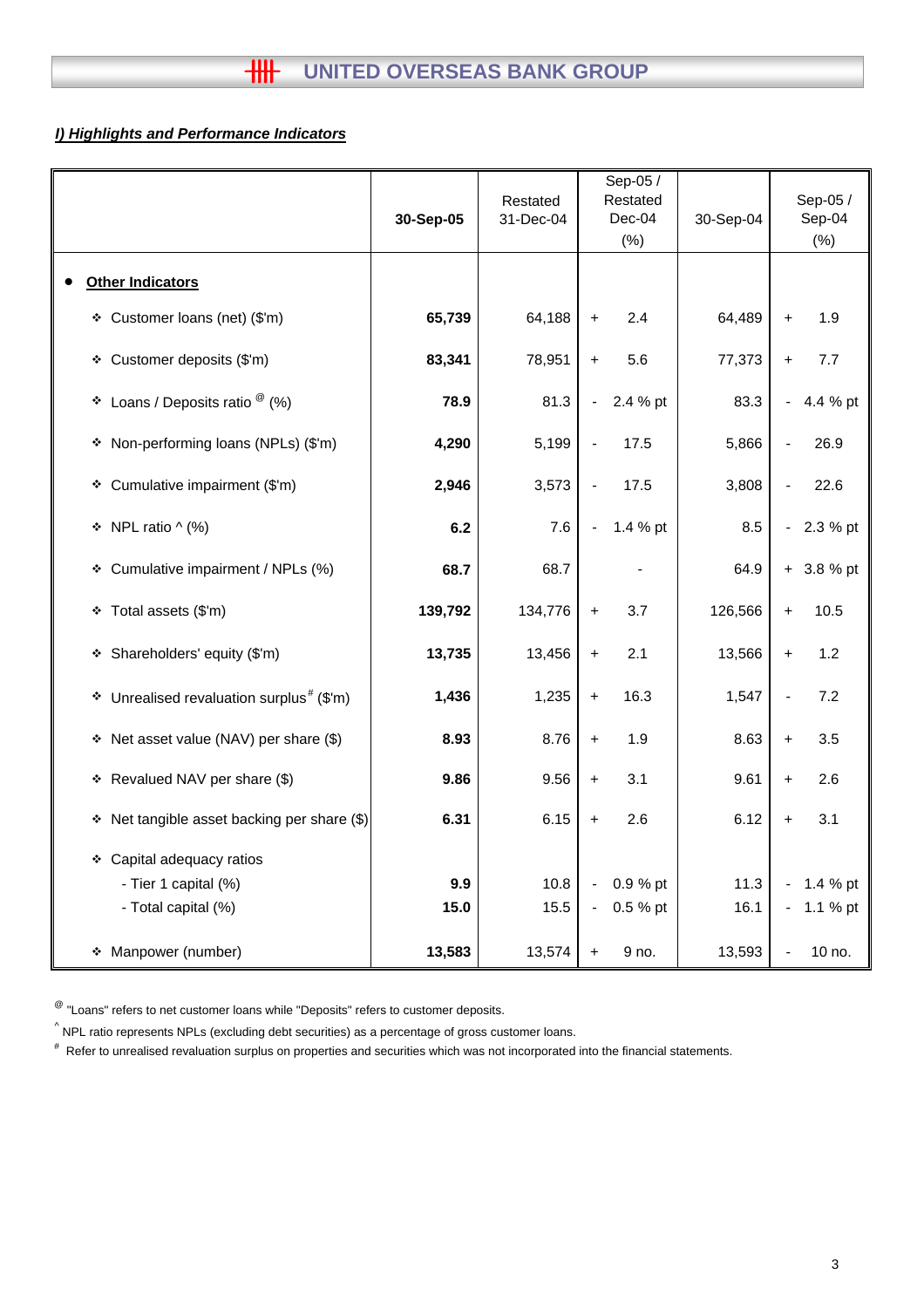## *I) Highlights and Performance Indicators*

|                                                         | 30-Sep-05 | Restated<br>31-Dec-04 | Sep-05 /<br>Restated<br>Dec-04<br>(% ) | 30-Sep-04 | Sep-05 /<br>Sep-04<br>(%)  |
|---------------------------------------------------------|-----------|-----------------------|----------------------------------------|-----------|----------------------------|
| <b>Other Indicators</b>                                 |           |                       |                                        |           |                            |
| Customer loans (net) (\$'m)<br>❖                        | 65,739    | 64,188                | 2.4<br>$\ddagger$                      | 64,489    | 1.9<br>$\ddot{}$           |
| Customer deposits (\$'m)<br>❖                           | 83,341    | 78,951                | 5.6<br>$\ddot{}$                       | 77,373    | 7.7<br>$+$                 |
| Loans / Deposits ratio $^\circledR$ (%)<br>❖            | 78.9      | 81.3                  | 2.4 % pt<br>$\blacksquare$             | 83.3      | 4.4 % pt                   |
| Non-performing loans (NPLs) (\$'m)<br>۰                 | 4,290     | 5,199                 | 17.5                                   | 5,866     | 26.9                       |
| Cumulative impairment (\$'m)<br>❖                       | 2,946     | 3,573                 | 17.5                                   | 3,808     | 22.6                       |
| NPL ratio $\wedge$ (%)<br>۰                             | 6.2       | 7.6                   | 1.4 % pt<br>$\blacksquare$             | 8.5       | 2.3 % pt<br>$\blacksquare$ |
| Cumulative impairment / NPLs (%)<br>❖                   | 68.7      | 68.7                  |                                        | 64.9      | 3.8 % pt<br>$+$            |
| Total assets (\$'m)<br>۰                                | 139,792   | 134,776               | 3.7<br>$+$                             | 126,566   | 10.5<br>$+$                |
| Shareholders' equity (\$'m)<br>۰                        | 13,735    | 13,456                | 2.1<br>$+$                             | 13,566    | 1.2<br>$\ddot{}$           |
| Unrealised revaluation surplus <sup>#</sup> (\$'m)<br>۰ | 1,436     | 1,235                 | 16.3<br>$+$                            | 1,547     | 7.2                        |
| Net asset value (NAV) per share (\$)<br>۰               | 8.93      | 8.76                  | 1.9<br>$+$                             | 8.63      | 3.5<br>$\ddot{}$           |
| Revalued NAV per share (\$)<br>۰                        | 9.86      | 9.56                  | 3.1<br>$\ddagger$                      | 9.61      | 2.6<br>$\ddot{}$           |
| Net tangible asset backing per share (\$)<br>۰          | 6.31      | 6.15                  | 2.6<br>$\ddagger$                      | 6.12      | 3.1<br>$\ddot{}$           |
| * Capital adequacy ratios                               |           |                       |                                        |           |                            |
| - Tier 1 capital (%)                                    | 9.9       | 10.8                  | 0.9 % pt<br>$\blacksquare$             | 11.3      | 1.4 % pt                   |
| - Total capital (%)                                     | 15.0      | 15.5                  | 0.5 % pt<br>$\blacksquare$             | 16.1      | 1.1 % pt<br>$\blacksquare$ |
| Manpower (number)<br>۰                                  | 13,583    | 13,574                | 9 no.<br>$\ddot{}$                     | 13,593    | 10 no.                     |

 $^{\circledR}$  "Loans" refers to net customer loans while "Deposits" refers to customer deposits.

 $^{\wedge}$  NPL ratio represents NPLs (excluding debt securities) as a percentage of gross customer loans.

# Refer to unrealised revaluation surplus on properties and securities which was not incorporated into the financial statements.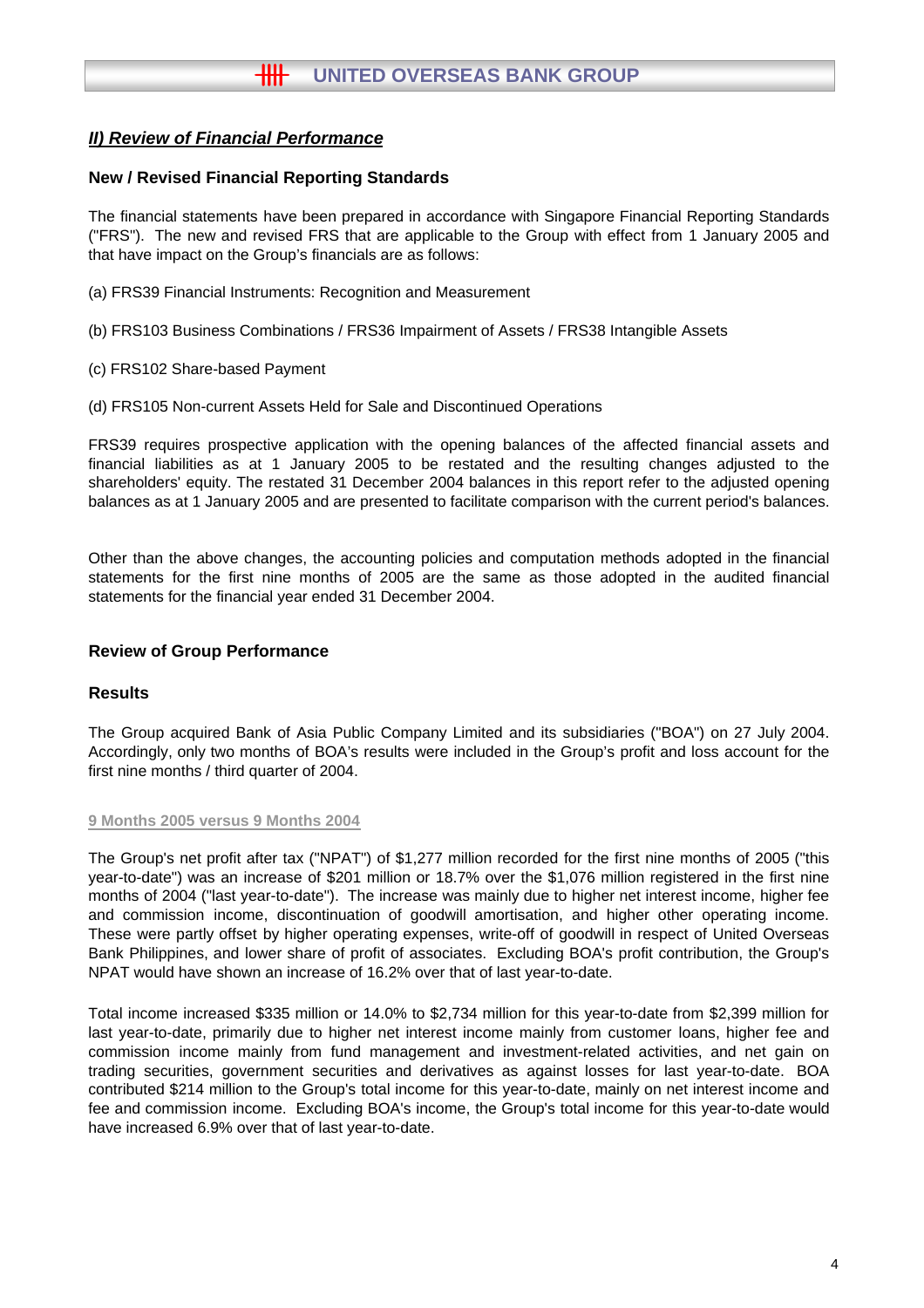## **New / Revised Financial Reporting Standards**

The financial statements have been prepared in accordance with Singapore Financial Reporting Standards ("FRS"). The new and revised FRS that are applicable to the Group with effect from 1 January 2005 and that have impact on the Group's financials are as follows:

- (a) FRS39 Financial Instruments: Recognition and Measurement
- (b) FRS103 Business Combinations / FRS36 Impairment of Assets / FRS38 Intangible Assets
- (c) FRS102 Share-based Payment
- (d) FRS105 Non-current Assets Held for Sale and Discontinued Operations

FRS39 requires prospective application with the opening balances of the affected financial assets and financial liabilities as at 1 January 2005 to be restated and the resulting changes adjusted to the shareholders' equity. The restated 31 December 2004 balances in this report refer to the adjusted opening balances as at 1 January 2005 and are presented to facilitate comparison with the current period's balances.

Other than the above changes, the accounting policies and computation methods adopted in the financial statements for the first nine months of 2005 are the same as those adopted in the audited financial statements for the financial year ended 31 December 2004.

## **Review of Group Performance**

## **Results**

The Group acquired Bank of Asia Public Company Limited and its subsidiaries ("BOA") on 27 July 2004. Accordingly, only two months of BOA's results were included in the Group's profit and loss account for the first nine months / third quarter of 2004.

#### **9 Months 2005 versus 9 Months 2004**

The Group's net profit after tax ("NPAT") of \$1,277 million recorded for the first nine months of 2005 ("this year-to-date") was an increase of \$201 million or 18.7% over the \$1,076 million registered in the first nine months of 2004 ("last year-to-date"). The increase was mainly due to higher net interest income, higher fee and commission income, discontinuation of goodwill amortisation, and higher other operating income. These were partly offset by higher operating expenses, write-off of goodwill in respect of United Overseas Bank Philippines, and lower share of profit of associates. Excluding BOA's profit contribution, the Group's NPAT would have shown an increase of 16.2% over that of last year-to-date.

Total income increased \$335 million or 14.0% to \$2,734 million for this year-to-date from \$2,399 million for last year-to-date, primarily due to higher net interest income mainly from customer loans, higher fee and commission income mainly from fund management and investment-related activities, and net gain on trading securities, government securities and derivatives as against losses for last year-to-date. BOA contributed \$214 million to the Group's total income for this year-to-date, mainly on net interest income and fee and commission income. Excluding BOA's income, the Group's total income for this year-to-date would have increased 6.9% over that of last year-to-date.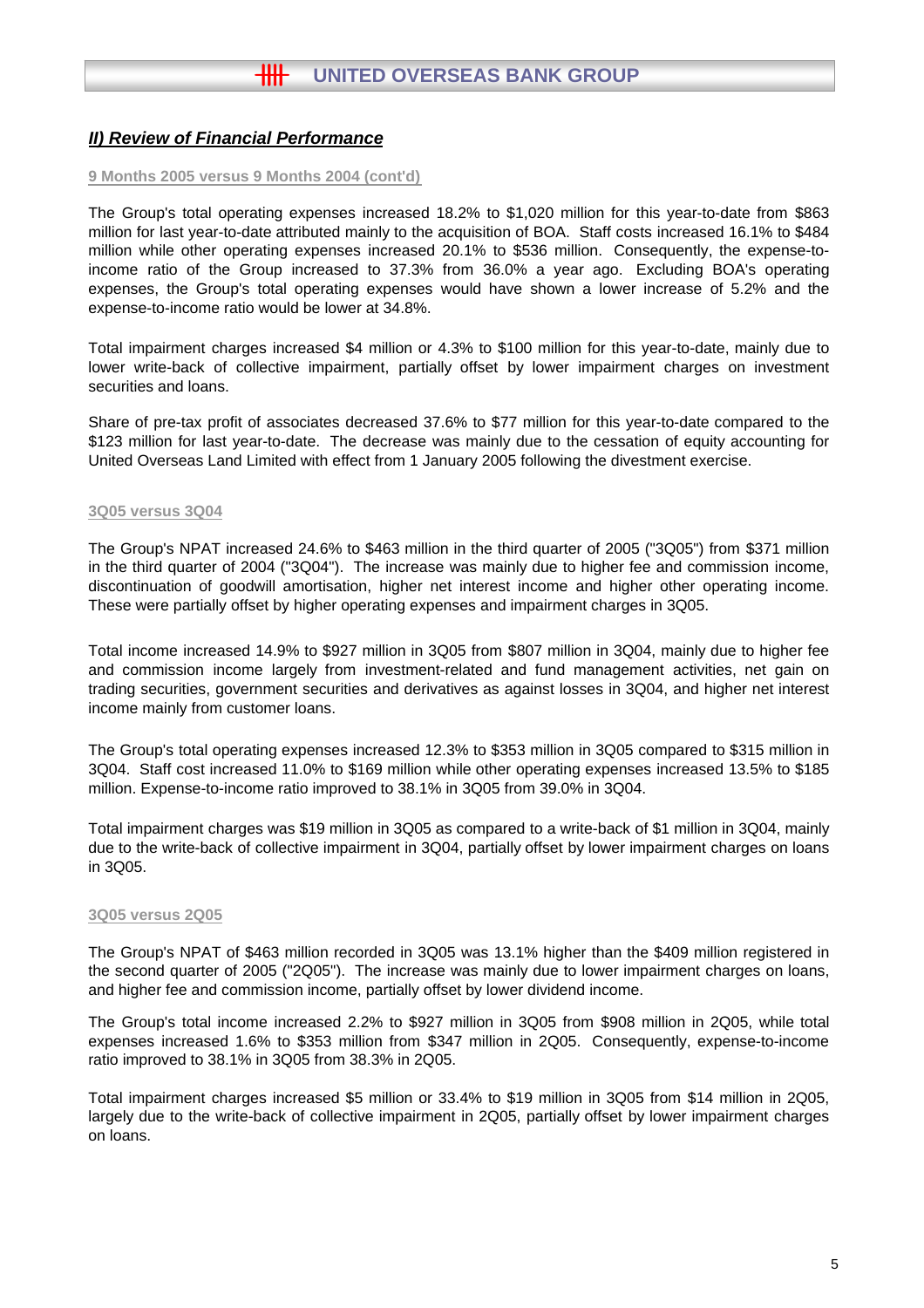#### **9 Months 2005 versus 9 Months 2004 (cont'd)**

The Group's total operating expenses increased 18.2% to \$1,020 million for this year-to-date from \$863 million for last year-to-date attributed mainly to the acquisition of BOA. Staff costs increased 16.1% to \$484 million while other operating expenses increased 20.1% to \$536 million. Consequently, the expense-toincome ratio of the Group increased to 37.3% from 36.0% a year ago. Excluding BOA's operating expenses, the Group's total operating expenses would have shown a lower increase of 5.2% and the expense-to-income ratio would be lower at 34.8%.

Total impairment charges increased \$4 million or 4.3% to \$100 million for this year-to-date, mainly due to lower write-back of collective impairment, partially offset by lower impairment charges on investment securities and loans.

Share of pre-tax profit of associates decreased 37.6% to \$77 million for this year-to-date compared to the \$123 million for last year-to-date. The decrease was mainly due to the cessation of equity accounting for United Overseas Land Limited with effect from 1 January 2005 following the divestment exercise.

#### **3Q05 versus 3Q04**

The Group's NPAT increased 24.6% to \$463 million in the third quarter of 2005 ("3Q05") from \$371 million in the third quarter of 2004 ("3Q04"). The increase was mainly due to higher fee and commission income, discontinuation of goodwill amortisation, higher net interest income and higher other operating income. These were partially offset by higher operating expenses and impairment charges in 3Q05.

Total income increased 14.9% to \$927 million in 3Q05 from \$807 million in 3Q04, mainly due to higher fee and commission income largely from investment-related and fund management activities, net gain on trading securities, government securities and derivatives as against losses in 3Q04, and higher net interest income mainly from customer loans.

The Group's total operating expenses increased 12.3% to \$353 million in 3Q05 compared to \$315 million in 3Q04. Staff cost increased 11.0% to \$169 million while other operating expenses increased 13.5% to \$185 million. Expense-to-income ratio improved to 38.1% in 3Q05 from 39.0% in 3Q04.

Total impairment charges was \$19 million in 3Q05 as compared to a write-back of \$1 million in 3Q04, mainly due to the write-back of collective impairment in 3Q04, partially offset by lower impairment charges on loans in 3Q05.

#### **3Q05 versus 2Q05**

The Group's NPAT of \$463 million recorded in 3Q05 was 13.1% higher than the \$409 million registered in the second quarter of 2005 ("2Q05"). The increase was mainly due to lower impairment charges on loans, and higher fee and commission income, partially offset by lower dividend income.

The Group's total income increased 2.2% to \$927 million in 3Q05 from \$908 million in 2Q05, while total expenses increased 1.6% to \$353 million from \$347 million in 2Q05. Consequently, expense-to-income ratio improved to 38.1% in 3Q05 from 38.3% in 2Q05.

Total impairment charges increased \$5 million or 33.4% to \$19 million in 3Q05 from \$14 million in 2Q05, largely due to the write-back of collective impairment in 2Q05, partially offset by lower impairment charges on loans.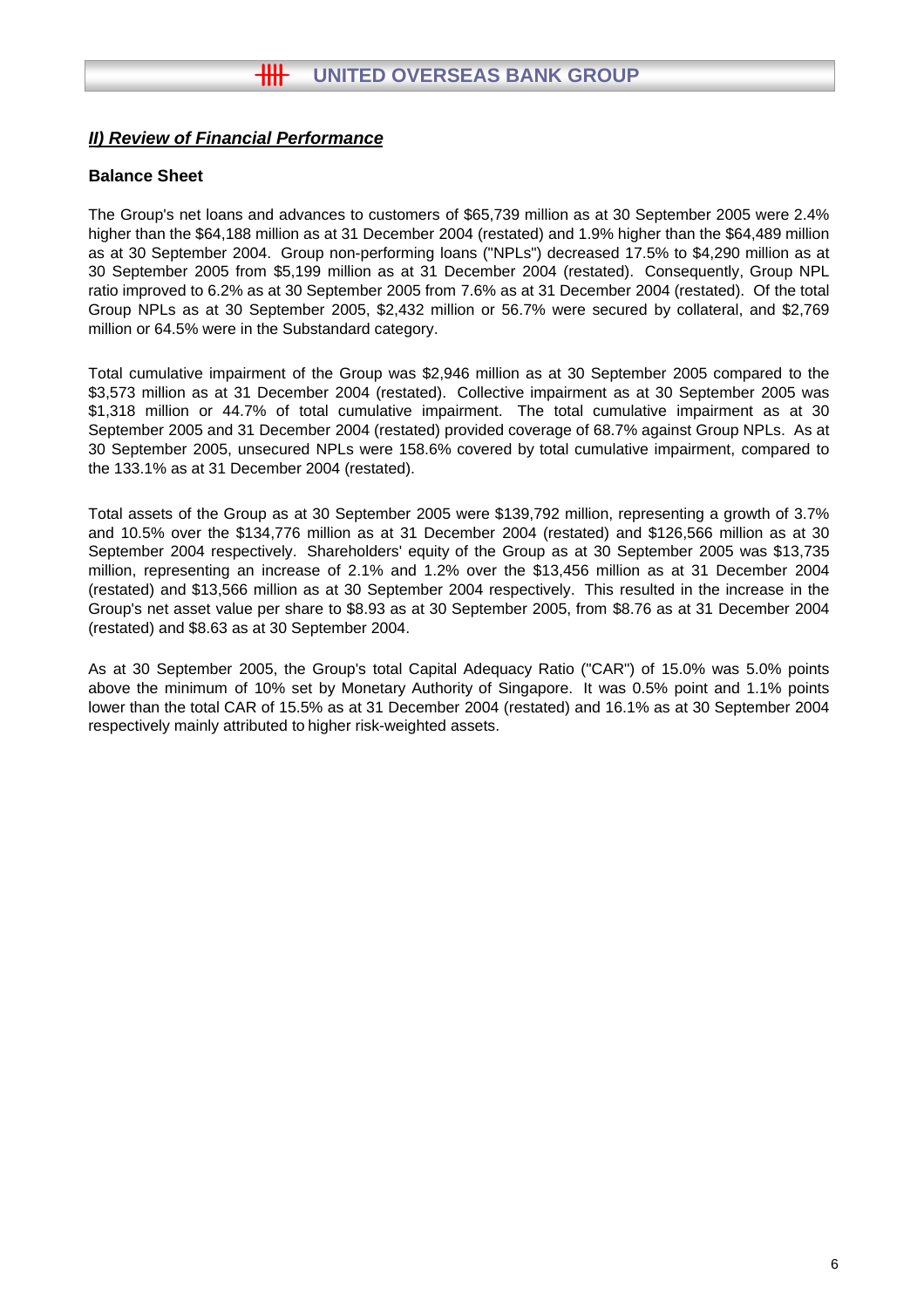## **Balance Sheet**

The Group's net loans and advances to customers of \$65,739 million as at 30 September 2005 were 2.4% higher than the \$64,188 million as at 31 December 2004 (restated) and 1.9% higher than the \$64,489 million as at 30 September 2004. Group non-performing loans ("NPLs") decreased 17.5% to \$4,290 million as at 30 September 2005 from \$5,199 million as at 31 December 2004 (restated). Consequently, Group NPL ratio improved to 6.2% as at 30 September 2005 from 7.6% as at 31 December 2004 (restated). Of the total Group NPLs as at 30 September 2005, \$2,432 million or 56.7% were secured by collateral, and \$2,769 million or 64.5% were in the Substandard category.

Total cumulative impairment of the Group was \$2,946 million as at 30 September 2005 compared to the \$3,573 million as at 31 December 2004 (restated). Collective impairment as at 30 September 2005 was \$1,318 million or 44.7% of total cumulative impairment. The total cumulative impairment as at 30 September 2005 and 31 December 2004 (restated) provided coverage of 68.7% against Group NPLs. As at 30 September 2005, unsecured NPLs were 158.6% covered by total cumulative impairment, compared to the 133.1% as at 31 December 2004 (restated).

Total assets of the Group as at 30 September 2005 were \$139,792 million, representing a growth of 3.7% and 10.5% over the \$134,776 million as at 31 December 2004 (restated) and \$126,566 million as at 30 September 2004 respectively. Shareholders' equity of the Group as at 30 September 2005 was \$13,735 million, representing an increase of 2.1% and 1.2% over the \$13,456 million as at 31 December 2004 (restated) and \$13,566 million as at 30 September 2004 respectively. This resulted in the increase in the Group's net asset value per share to \$8.93 as at 30 September 2005, from \$8.76 as at 31 December 2004 (restated) and \$8.63 as at 30 September 2004.

As at 30 September 2005, the Group's total Capital Adequacy Ratio ("CAR") of 15.0% was 5.0% points above the minimum of 10% set by Monetary Authority of Singapore. It was 0.5% point and 1.1% points lower than the total CAR of 15.5% as at 31 December 2004 (restated) and 16.1% as at 30 September 2004 respectively mainly attributed to higher risk-weighted assets.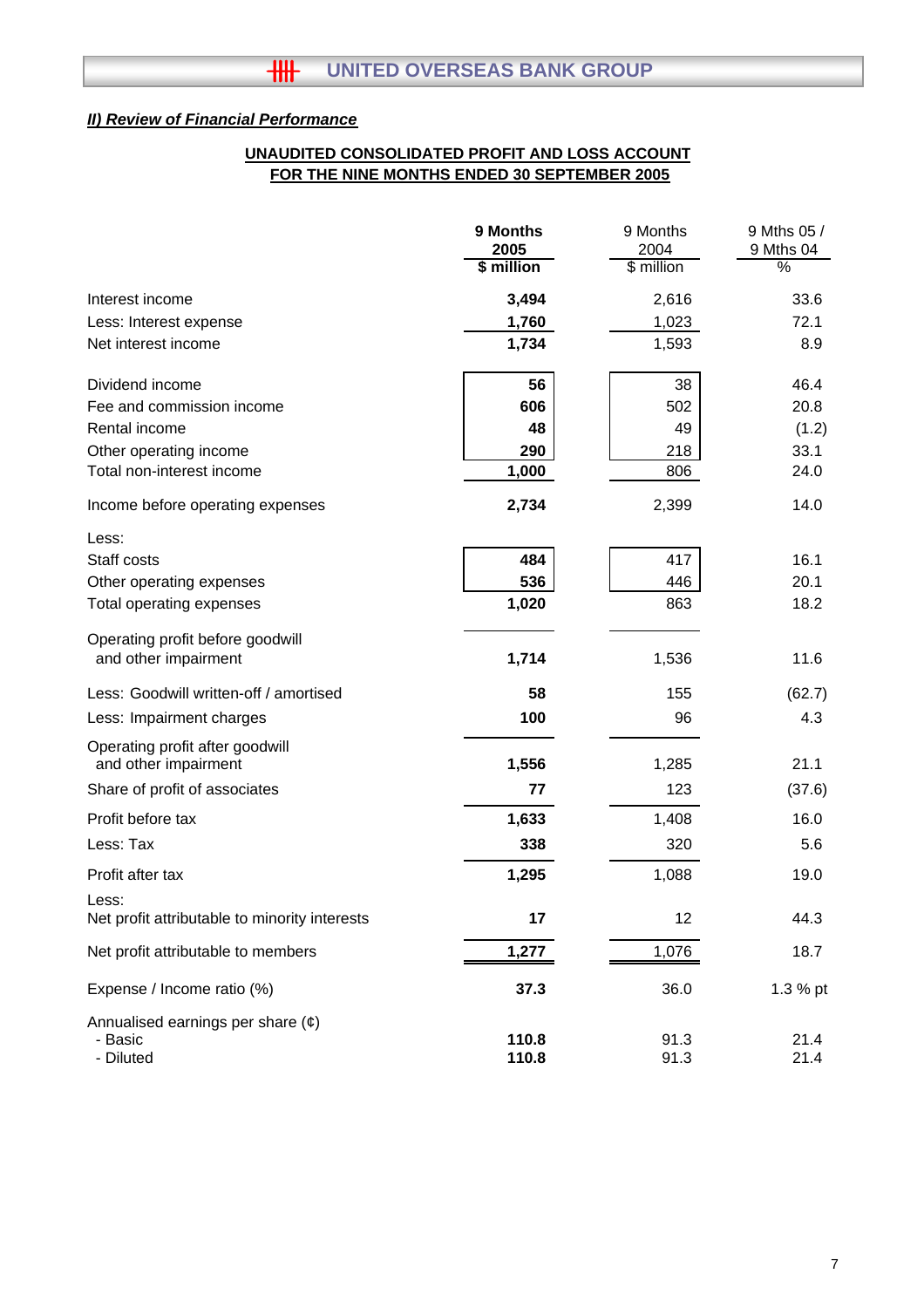## **FOR THE NINE MONTHS ENDED 30 SEPTEMBER 2005 UNAUDITED CONSOLIDATED PROFIT AND LOSS ACCOUNT**

|                                                         | 9 Months<br>2005 | 9 Months<br>2004 | 9 Mths 05 /<br>9 Mths 04 |
|---------------------------------------------------------|------------------|------------------|--------------------------|
|                                                         | \$ million       | \$ million       | %                        |
| Interest income                                         | 3,494            | 2,616            | 33.6                     |
| Less: Interest expense                                  | 1,760            | 1,023            | 72.1                     |
| Net interest income                                     | 1,734            | 1,593            | 8.9                      |
| Dividend income                                         | 56               | 38               | 46.4                     |
| Fee and commission income                               | 606              | 502              | 20.8                     |
| Rental income                                           | 48               | 49               | (1.2)                    |
| Other operating income                                  | 290              | 218              | 33.1                     |
| Total non-interest income                               | 1,000            | 806              | 24.0                     |
| Income before operating expenses                        | 2,734            | 2,399            | 14.0                     |
| Less:                                                   |                  |                  |                          |
| Staff costs                                             | 484              | 417              | 16.1                     |
| Other operating expenses                                | 536              | 446              | 20.1                     |
| Total operating expenses                                | 1,020            | 863              | 18.2                     |
| Operating profit before goodwill                        |                  |                  |                          |
| and other impairment                                    | 1,714            | 1,536            | 11.6                     |
| Less: Goodwill written-off / amortised                  | 58               | 155              | (62.7)                   |
| Less: Impairment charges                                | 100              | 96               | 4.3                      |
| Operating profit after goodwill<br>and other impairment | 1,556            | 1,285            | 21.1                     |
| Share of profit of associates                           | 77               | 123              | (37.6)                   |
| Profit before tax                                       | 1,633            | 1,408            | 16.0                     |
| Less: Tax                                               | 338              | 320              | 5.6                      |
| Profit after tax                                        | 1,295            | 1,088            | 19.0                     |
| Less:<br>Net profit attributable to minority interests  | 17               | 12               | 44.3                     |
| Net profit attributable to members                      | 1,277            | 1,076            | 18.7                     |
|                                                         |                  |                  |                          |
| Expense / Income ratio (%)                              | 37.3             | 36.0             | 1.3 % pt                 |
| Annualised earnings per share $(\phi)$<br>- Basic       | 110.8            | 91.3             | 21.4                     |
| - Diluted                                               | 110.8            | 91.3             | 21.4                     |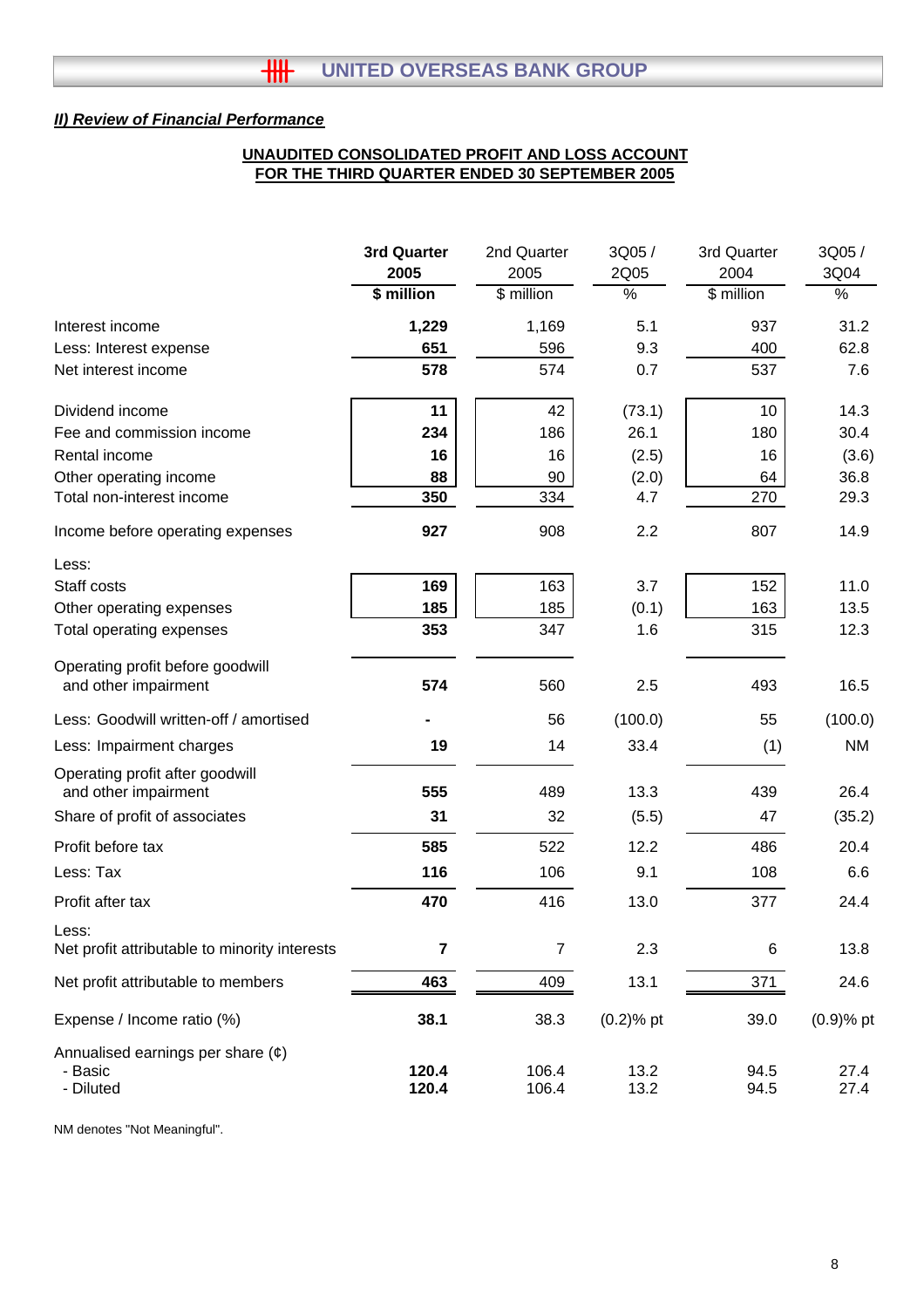## **UNAUDITED CONSOLIDATED PROFIT AND LOSS ACCOUNT FOR THE THIRD QUARTER ENDED 30 SEPTEMBER 2005**

|                                                         | 3rd Quarter    | 2nd Quarter    | 3Q05/         | 3rd Quarter | 3Q05 /       |
|---------------------------------------------------------|----------------|----------------|---------------|-------------|--------------|
|                                                         | 2005           | 2005           | 2Q05          | 2004        | 3Q04         |
|                                                         | \$ million     | \$ million     | $\frac{1}{6}$ | \$ million  | %            |
| Interest income                                         | 1,229          | 1,169          | 5.1           | 937         | 31.2         |
| Less: Interest expense                                  | 651            | 596            | 9.3           | 400         | 62.8         |
| Net interest income                                     | 578            | 574            | 0.7           | 537         | 7.6          |
| Dividend income                                         | 11             | 42             | (73.1)        | 10          | 14.3         |
| Fee and commission income                               | 234            | 186            | 26.1          | 180         | 30.4         |
| Rental income                                           | 16             | 16             | (2.5)         | 16          | (3.6)        |
| Other operating income                                  | 88             | 90             | (2.0)         | 64          | 36.8         |
| Total non-interest income                               | 350            | 334            | 4.7           | 270         | 29.3         |
| Income before operating expenses                        | 927            | 908            | 2.2           | 807         | 14.9         |
| Less:                                                   |                |                |               |             |              |
| Staff costs                                             | 169            | 163            | 3.7           | 152         | 11.0         |
| Other operating expenses                                | 185            | 185            | (0.1)         | 163         | 13.5         |
| Total operating expenses                                | 353            | 347            | 1.6           | 315         | 12.3         |
| Operating profit before goodwill                        |                |                |               |             |              |
| and other impairment                                    | 574            | 560            | 2.5           | 493         | 16.5         |
| Less: Goodwill written-off / amortised                  |                | 56             | (100.0)       | 55          | (100.0)      |
| Less: Impairment charges                                | 19             | 14             | 33.4          | (1)         | <b>NM</b>    |
| Operating profit after goodwill<br>and other impairment | 555            | 489            | 13.3          | 439         | 26.4         |
| Share of profit of associates                           | 31             | 32             | (5.5)         | 47          | (35.2)       |
| Profit before tax                                       | 585            | 522            | 12.2          | 486         | 20.4         |
| Less: Tax                                               | 116            | 106            | 9.1           | 108         | 6.6          |
| Profit after tax                                        | 470            | 416            | 13.0          | 377         | 24.4         |
| Less:<br>Net profit attributable to minority interests  | $\overline{7}$ | $\overline{7}$ | 2.3           | 6           | 13.8         |
| Net profit attributable to members                      | 463            | 409            | 13.1          | 371         | 24.6         |
| Expense / Income ratio (%)                              | 38.1           | 38.3           | $(0.2)$ % pt  | 39.0        | $(0.9)$ % pt |
| Annualised earnings per share $(e)$                     |                |                |               |             |              |
| - Basic                                                 | 120.4          | 106.4          | 13.2          | 94.5        | 27.4         |
| - Diluted                                               | 120.4          | 106.4          | 13.2          | 94.5        | 27.4         |

NM denotes "Not Meaningful".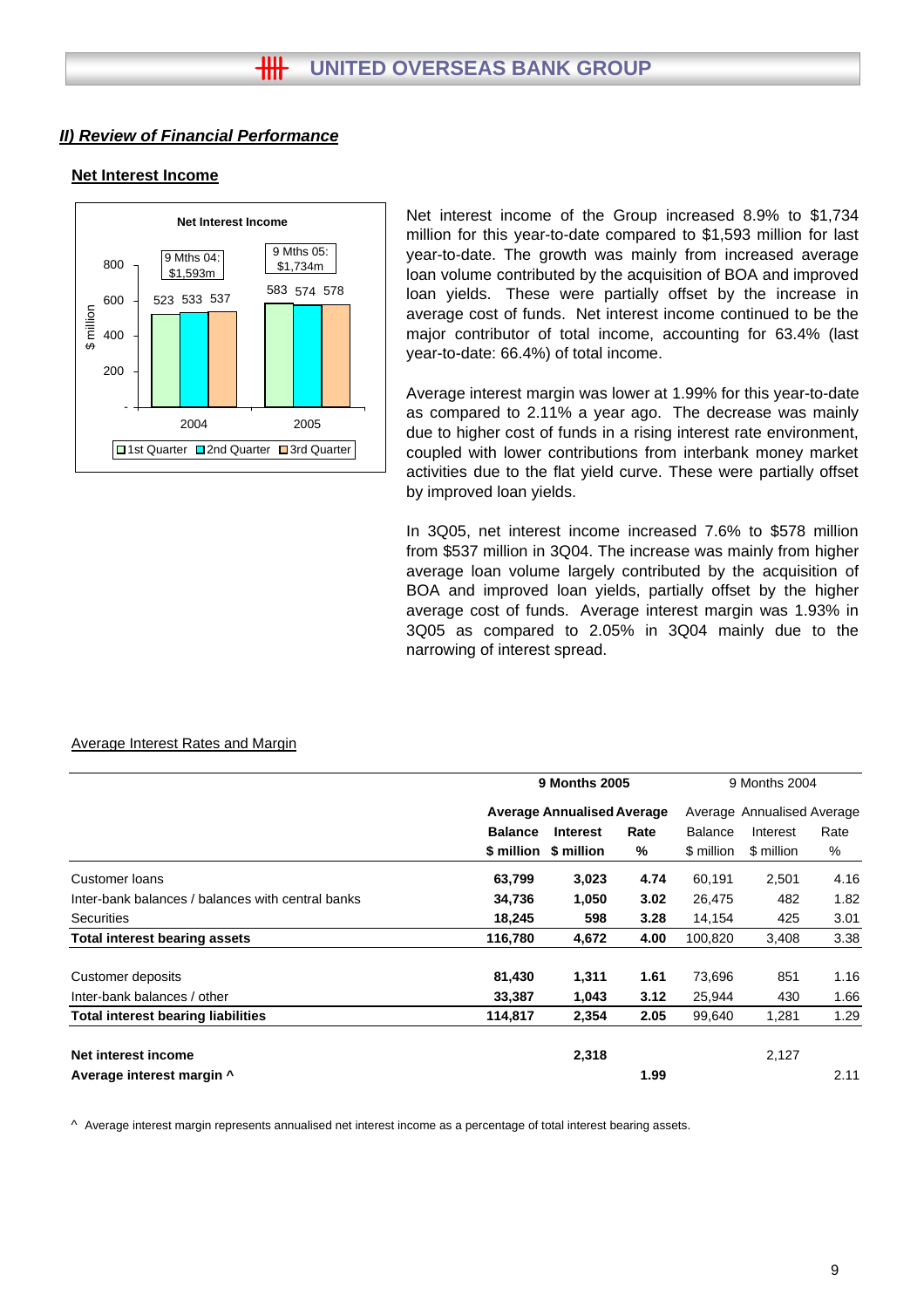#### **Net Interest Income**



Net interest income of the Group increased 8.9% to \$1,734 million for this year-to-date compared to \$1,593 million for last year-to-date. The growth was mainly from increased average loan volume contributed by the acquisition of BOA and improved loan yields. These were partially offset by the increase in average cost of funds. Net interest income continued to be the major contributor of total income, accounting for 63.4% (last year-to-date: 66.4%) of total income.

Average interest margin was lower at 1.99% for this year-to-date as compared to 2.11% a year ago. The decrease was mainly due to higher cost of funds in a rising interest rate environment, coupled with lower contributions from interbank money market activities due to the flat yield curve. These were partially offset by improved loan yields.

In 3Q05, net interest income increased 7.6% to \$578 million from \$537 million in 3Q04. The increase was mainly from higher average loan volume largely contributed by the acquisition of BOA and improved loan yields, partially offset by the higher average cost of funds. Average interest margin was 1.93% in 3Q05 as compared to 2.05% in 3Q04 mainly due to the narrowing of interest spread.

|                                                   |                | <b>9 Months 2005</b>              | 9 Months 2004<br>Average Annualised Average |                |            |      |
|---------------------------------------------------|----------------|-----------------------------------|---------------------------------------------|----------------|------------|------|
|                                                   |                | <b>Average Annualised Average</b> |                                             |                |            |      |
|                                                   | <b>Balance</b> | <b>Interest</b>                   | Rate                                        | <b>Balance</b> | Interest   | Rate |
|                                                   | \$ million     | \$ million                        | %                                           | \$ million     | \$ million | %    |
| <b>Customer loans</b>                             | 63,799         | 3,023                             | 4.74                                        | 60,191         | 2,501      | 4.16 |
| Inter-bank balances / balances with central banks | 34,736         | 1,050                             | 3.02                                        | 26,475         | 482        | 1.82 |
| <b>Securities</b>                                 | 18,245         | 598                               | 3.28                                        | 14,154         | 425        | 3.01 |
| <b>Total interest bearing assets</b>              | 116,780        | 4,672                             | 4.00                                        | 100,820        | 3,408      | 3.38 |
| Customer deposits                                 | 81,430         | 1,311                             | 1.61                                        | 73,696         | 851        | 1.16 |
| Inter-bank balances / other                       | 33,387         | 1,043                             | 3.12                                        | 25,944         | 430        | 1.66 |
| <b>Total interest bearing liabilities</b>         | 114,817        | 2,354                             | 2.05                                        | 99,640         | 1,281      | 1.29 |
| Net interest income                               |                | 2,318                             |                                             |                | 2,127      |      |
| Average interest margin ^                         |                |                                   | 1.99                                        |                |            | 2.11 |

#### Average Interest Rates and Margin

 $\land$  Average interest margin represents annualised net interest income as a percentage of total interest bearing assets.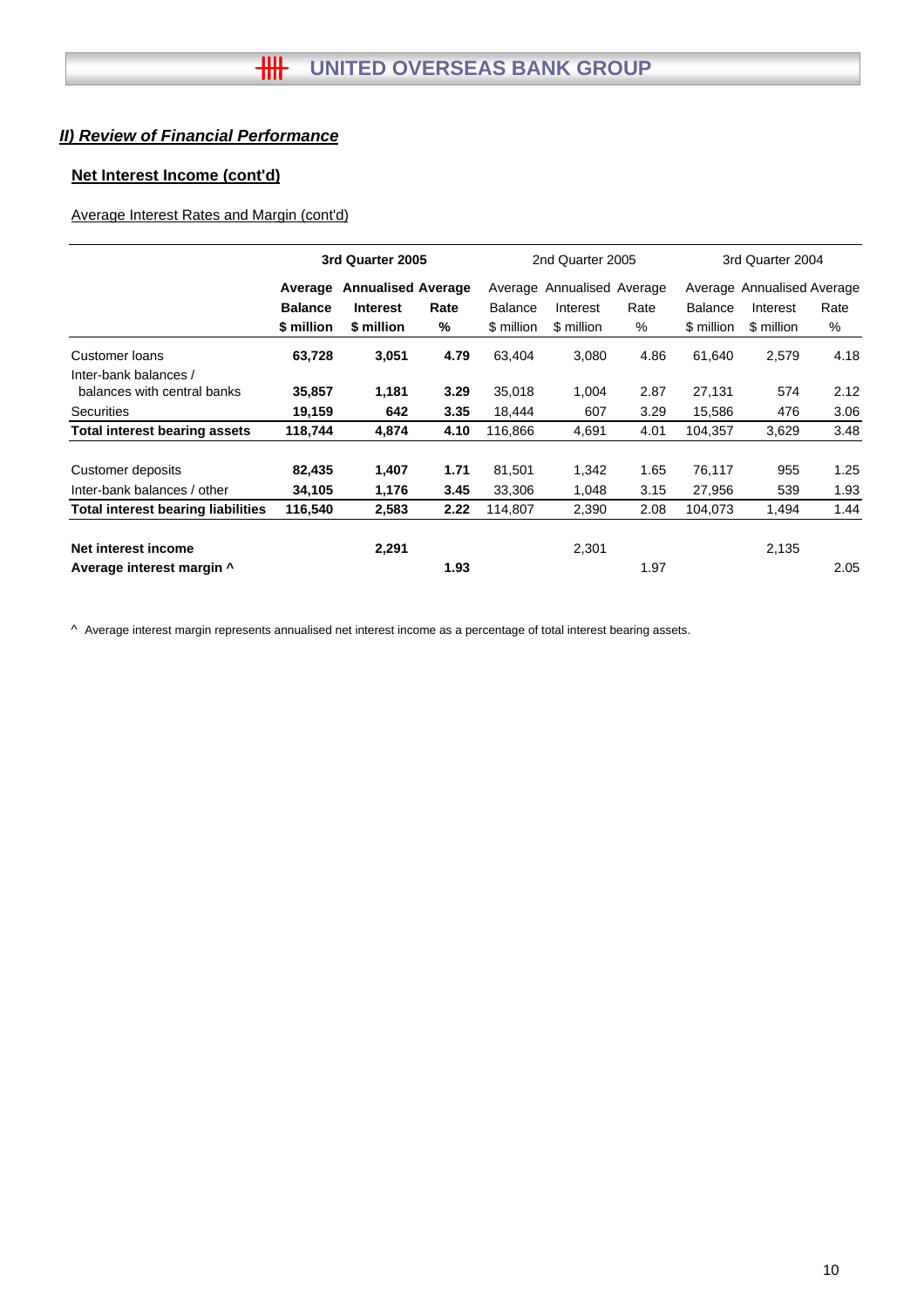## **Net Interest Income (cont'd)**

## Average Interest Rates and Margin (cont'd)

|                                      |                | 3rd Quarter 2005          |      |                | 2nd Quarter 2005           |      | 3rd Quarter 2004 |                            |      |  |
|--------------------------------------|----------------|---------------------------|------|----------------|----------------------------|------|------------------|----------------------------|------|--|
|                                      | Average        | <b>Annualised Average</b> |      |                | Average Annualised Average |      |                  | Average Annualised Average |      |  |
|                                      | <b>Balance</b> | <b>Interest</b>           | Rate | <b>Balance</b> | Interest                   | Rate | <b>Balance</b>   | Interest                   | Rate |  |
|                                      | \$ million     | \$ million                | %    | \$ million     | \$ million                 | %    | \$ million       | \$ million                 | %    |  |
| Customer loans                       | 63,728         | 3,051                     | 4.79 | 63,404         | 3,080                      | 4.86 | 61,640           | 2,579                      | 4.18 |  |
| Inter-bank balances /                |                |                           |      |                |                            |      |                  |                            |      |  |
| balances with central banks          | 35,857         | 1,181                     | 3.29 | 35,018         | 1,004                      | 2.87 | 27,131           | 574                        | 2.12 |  |
| <b>Securities</b>                    | 19,159         | 642                       | 3.35 | 18,444         | 607                        | 3.29 | 15,586           | 476                        | 3.06 |  |
| <b>Total interest bearing assets</b> | 118,744        | 4,874                     | 4.10 | 116,866        | 4,691                      | 4.01 | 104,357          | 3,629                      | 3.48 |  |
| Customer deposits                    | 82,435         | 1,407                     | 1.71 | 81,501         | 1,342                      | 1.65 | 76,117           | 955                        | 1.25 |  |
| Inter-bank balances / other          | 34,105         | 1,176                     | 3.45 | 33,306         | 1,048                      | 3.15 | 27,956           | 539                        | 1.93 |  |
| Total interest bearing liabilities   | 116,540        | 2,583                     | 2.22 | 114,807        | 2,390                      | 2.08 | 104,073          | 1,494                      | 1.44 |  |
| Net interest income                  |                | 2,291                     |      |                | 2,301                      |      |                  | 2,135                      |      |  |
| Average interest margin ^            |                |                           | 1.93 |                |                            | 1.97 |                  |                            | 2.05 |  |

^ Average interest margin represents annualised net interest income as a percentage of total interest bearing assets.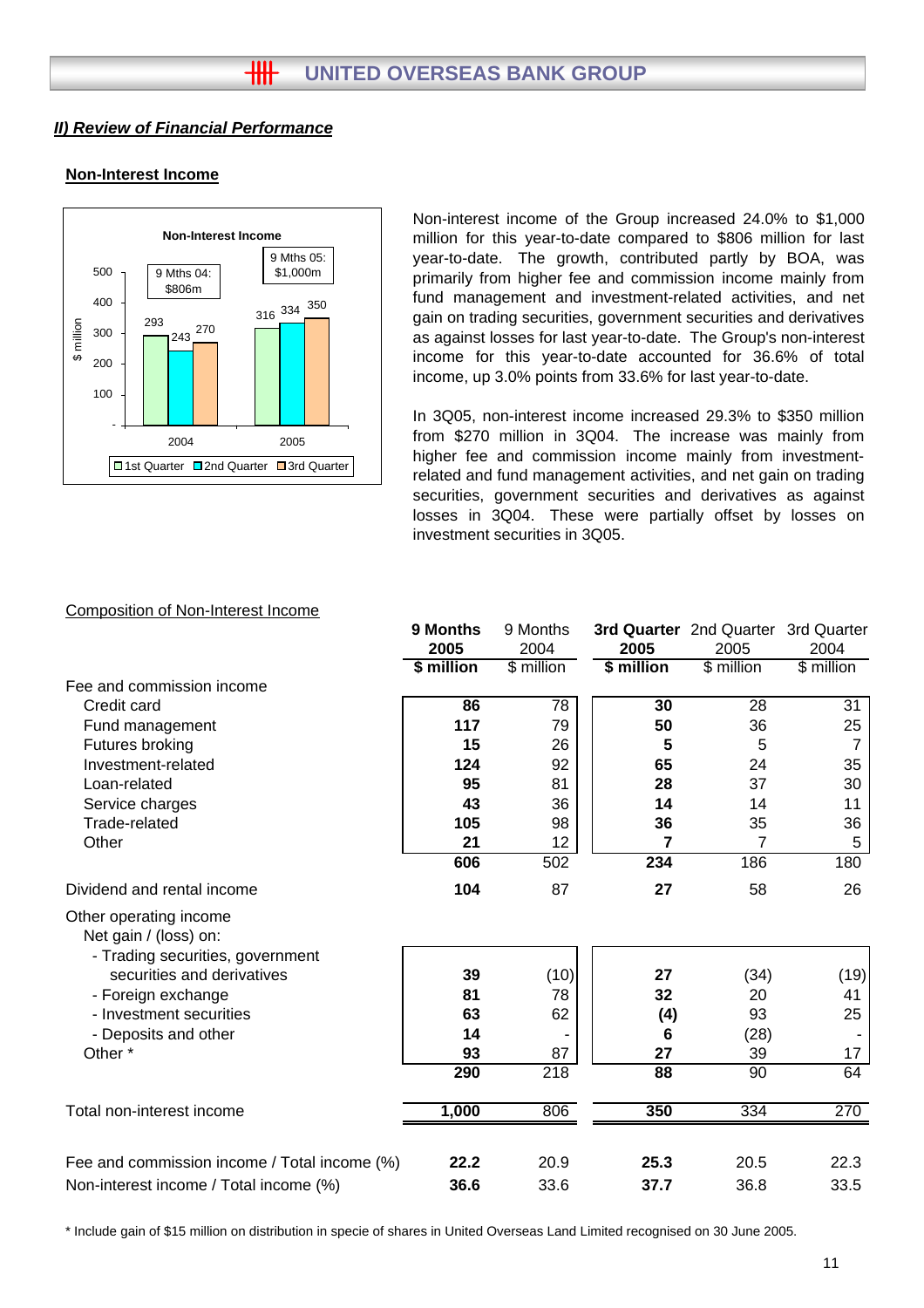## **Non-Interest Income**



Non-interest income of the Group increased 24.0% to \$1,000 million for this year-to-date compared to \$806 million for last year-to-date. The growth, contributed partly by BOA, was primarily from higher fee and commission income mainly from fund management and investment-related activities, and net gain on trading securities, government securities and derivatives as against losses for last year-to-date. The Group's non-interest income for this year-to-date accounted for 36.6% of total income, up 3.0% points from 33.6% for last year-to-date.

In 3Q05, non-interest income increased 29.3% to \$350 million from \$270 million in 3Q04. The increase was mainly from higher fee and commission income mainly from investmentrelated and fund management activities, and net gain on trading securities, government securities and derivatives as against losses in 3Q04. These were partially offset by losses on investment securities in 3Q05.

## **9 Months** 9 Months **3rd Quarter** 2nd Quarter 3rd Quarter **2005** 2004 **2005** 2005 2004 **\$ million** \$ million **\$ million** \$ million \$ million Fee and commission income Credit card **86** 78 **30** 28 31 Fund management **117** 79 **50** 36 25 Futures broking **15** 26 **5** 5 7 Investment-related **124** 92 **65** 24 35 Loan-related **95** 81 **28** 37 30 Service charges **14 43** 36 **14 14 11** Trade-related **105** 98 **36** 35 36 Other **21** 12 **7** 7 5 **606** 502 **234** 186 180 Dividend and rental income **104** 87 **27** 58 26 Other operating income Net gain / (loss) on: - Trading securities, government securities and derivatives **39** (10) **27** (34) (19) - Foreign exchange **81** 78 **32** 20 41 - Investment securities **63** 62 **(4)** 93 25 - Deposits and other **14** - **6** (28) - Other \* **93** 87 **27** 39 17 **290** 218 **88** 90 64 Total non-interest income **1,000** 806 **350** 334 270 Fee and commission income / Total income (%) **22.2** 20.9 **25.3** 22.3 20.5 Non-interest income / Total income (%) **36.6** 33.6 **37.7** 33.5 36.8

#### Composition of Non-Interest Income

\* Include gain of \$15 million on distribution in specie of shares in United Overseas Land Limited recognised on 30 June 2005.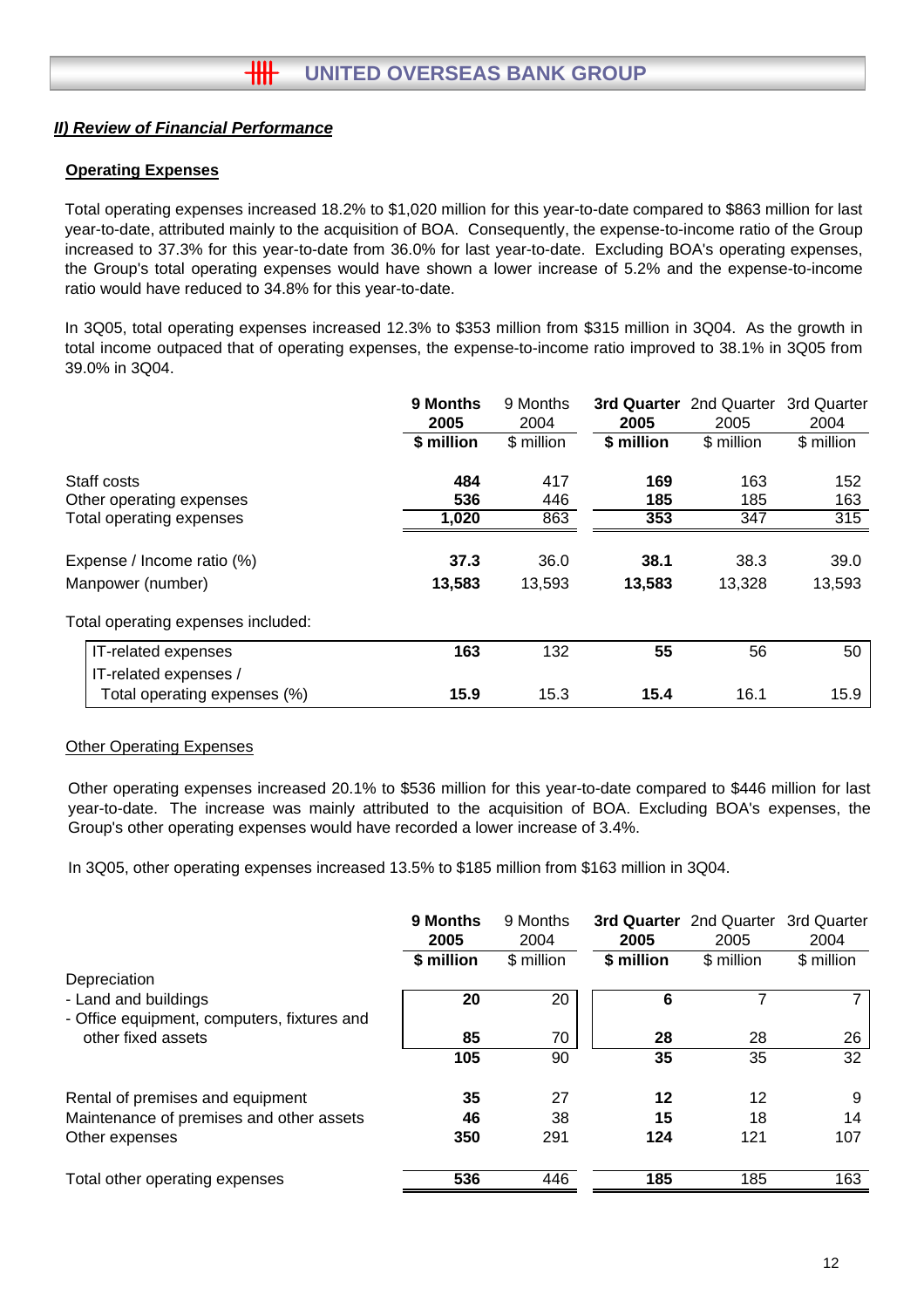## **Operating Expenses**

Total operating expenses increased 18.2% to \$1,020 million for this year-to-date compared to \$863 million for last year-to-date, attributed mainly to the acquisition of BOA. Consequently, the expense-to-income ratio of the Group increased to 37.3% for this year-to-date from 36.0% for last year-to-date. Excluding BOA's operating expenses, the Group's total operating expenses would have shown a lower increase of 5.2% and the expense-to-income ratio would have reduced to 34.8% for this year-to-date.

In 3Q05, total operating expenses increased 12.3% to \$353 million from \$315 million in 3Q04. As the growth in total income outpaced that of operating expenses, the expense-to-income ratio improved to 38.1% in 3Q05 from 39.0% in 3Q04.

|                                    | 9 Months<br>2005 | 9 Months<br>2004 | 3rd Quarter<br>2005 | 2nd Quarter<br>2005 | 3rd Quarter<br>2004 |
|------------------------------------|------------------|------------------|---------------------|---------------------|---------------------|
|                                    | \$ million       | \$ million       | \$ million          | \$ million          | \$ million          |
| Staff costs                        | 484              | 417              | 169                 | 163                 | 152                 |
| Other operating expenses           | 536              | 446              | 185                 | 185                 | 163                 |
| Total operating expenses           | 1,020            | 863              | 353                 | 347                 | 315                 |
| Expense / Income ratio (%)         | 37.3             | 36.0             | 38.1                | 38.3                | 39.0                |
| Manpower (number)                  | 13,583           | 13,593           | 13,583              | 13,328              | 13,593              |
| Total operating expenses included: |                  |                  |                     |                     |                     |
| IT-related expenses                | 163              | 132              | 55                  | 56                  | 50                  |
| IT-related expenses /              |                  |                  |                     |                     |                     |
| Total operating expenses (%)       | 15.9             | 15.3             | 15.4                | 16.1                | 15.9                |

## Other Operating Expenses

Other operating expenses increased 20.1% to \$536 million for this year-to-date compared to \$446 million for last year-to-date. The increase was mainly attributed to the acquisition of BOA. Excluding BOA's expenses, the Group's other operating expenses would have recorded a lower increase of 3.4%.

In 3Q05, other operating expenses increased 13.5% to \$185 million from \$163 million in 3Q04.

|                                                                     | 9 Months<br>2005 | 9 Months<br>2004 | 2005       | 3rd Quarter 2nd Quarter<br>2005 | 3rd Quarter<br>2004 |
|---------------------------------------------------------------------|------------------|------------------|------------|---------------------------------|---------------------|
| Depreciation                                                        | \$ million       | \$ million       | \$ million | \$ million                      | \$ million          |
| - Land and buildings<br>- Office equipment, computers, fixtures and | 20               | 20               | 6          |                                 |                     |
| other fixed assets                                                  | 85               | 70               | 28         | 28                              | 26                  |
|                                                                     | 105              | 90               | 35         | 35                              | 32                  |
| Rental of premises and equipment                                    | 35               | 27               | 12         | 12                              | 9                   |
| Maintenance of premises and other assets                            | 46               | 38               | 15         | 18                              | 14                  |
| Other expenses                                                      | 350              | 291              | 124        | 121                             | 107                 |
| Total other operating expenses                                      | 536              | 446              | 185        | 185                             | 163                 |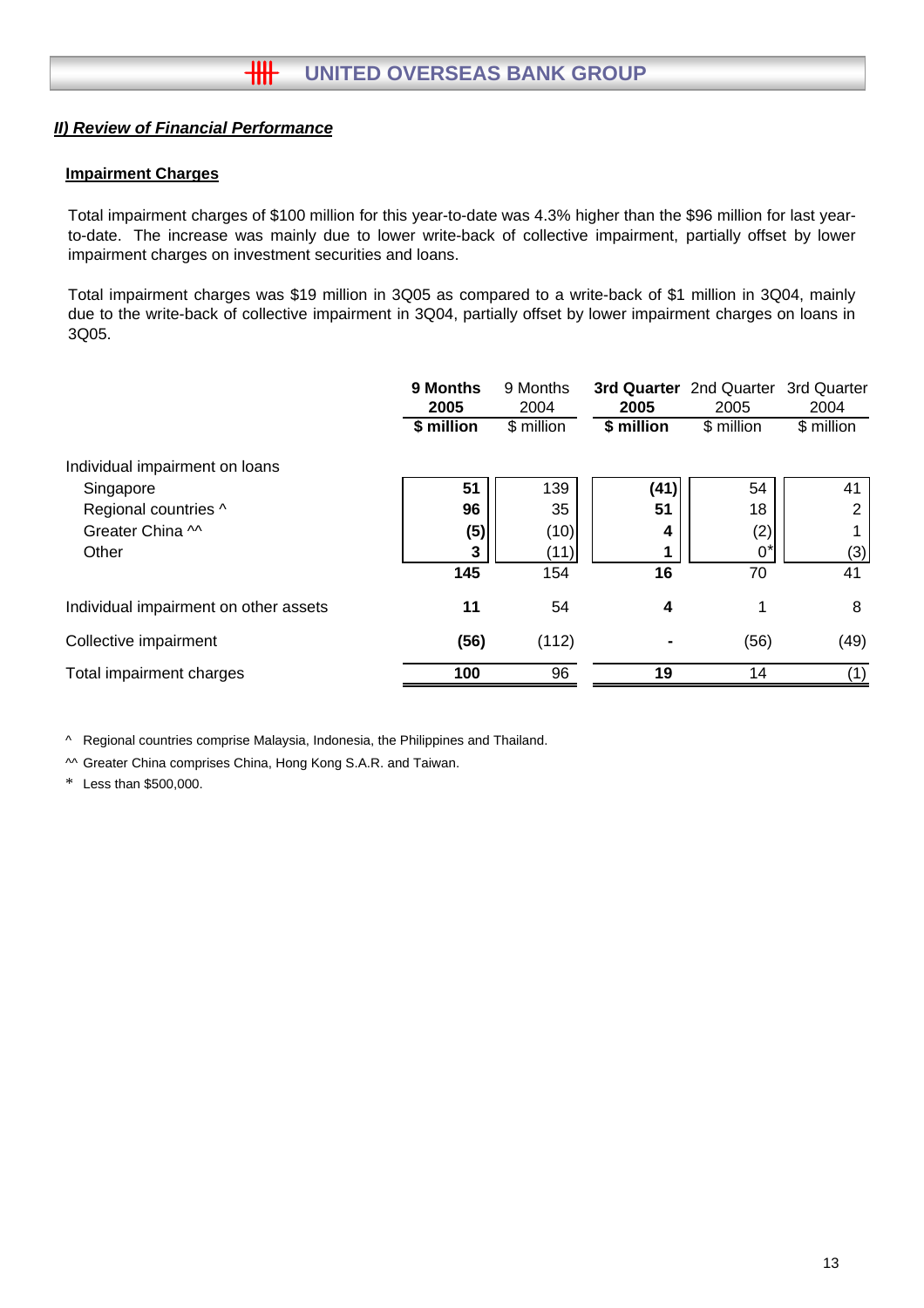## **Impairment Charges**

Total impairment charges of \$100 million for this year-to-date was 4.3% higher than the \$96 million for last yearto-date. The increase was mainly due to lower write-back of collective impairment, partially offset by lower impairment charges on investment securities and loans.

Total impairment charges was \$19 million in 3Q05 as compared to a write-back of \$1 million in 3Q04, mainly due to the write-back of collective impairment in 3Q04, partially offset by lower impairment charges on loans in 3Q05.

| 9 Months<br>2005 | 9 Months<br>2004 | 2005       | 2005       | 3rd Quarter<br>2004     |
|------------------|------------------|------------|------------|-------------------------|
| \$ million       | \$ million       | \$ million | \$ million | \$ million              |
|                  |                  |            |            |                         |
| 51               | 139              | (41)       | 54         | 41                      |
| 96               | 35               | 51         | 18         | 2                       |
| (5)              | (10)             | 4          | (2)        |                         |
| 3                | (11)             |            | 0'         | (3)                     |
| 145              | 154              | 16         | 70         | 41                      |
| 11               | 54               | 4          | 1          | 8                       |
| (56)             | (112)            |            | (56)       | (49)                    |
| 100              | 96               | 19         | 14         | (1)                     |
|                  |                  |            |            | 3rd Quarter 2nd Quarter |

^ Regional countries comprise Malaysia, Indonesia, the Philippines and Thailand.

^^ Greater China comprises China, Hong Kong S.A.R. and Taiwan.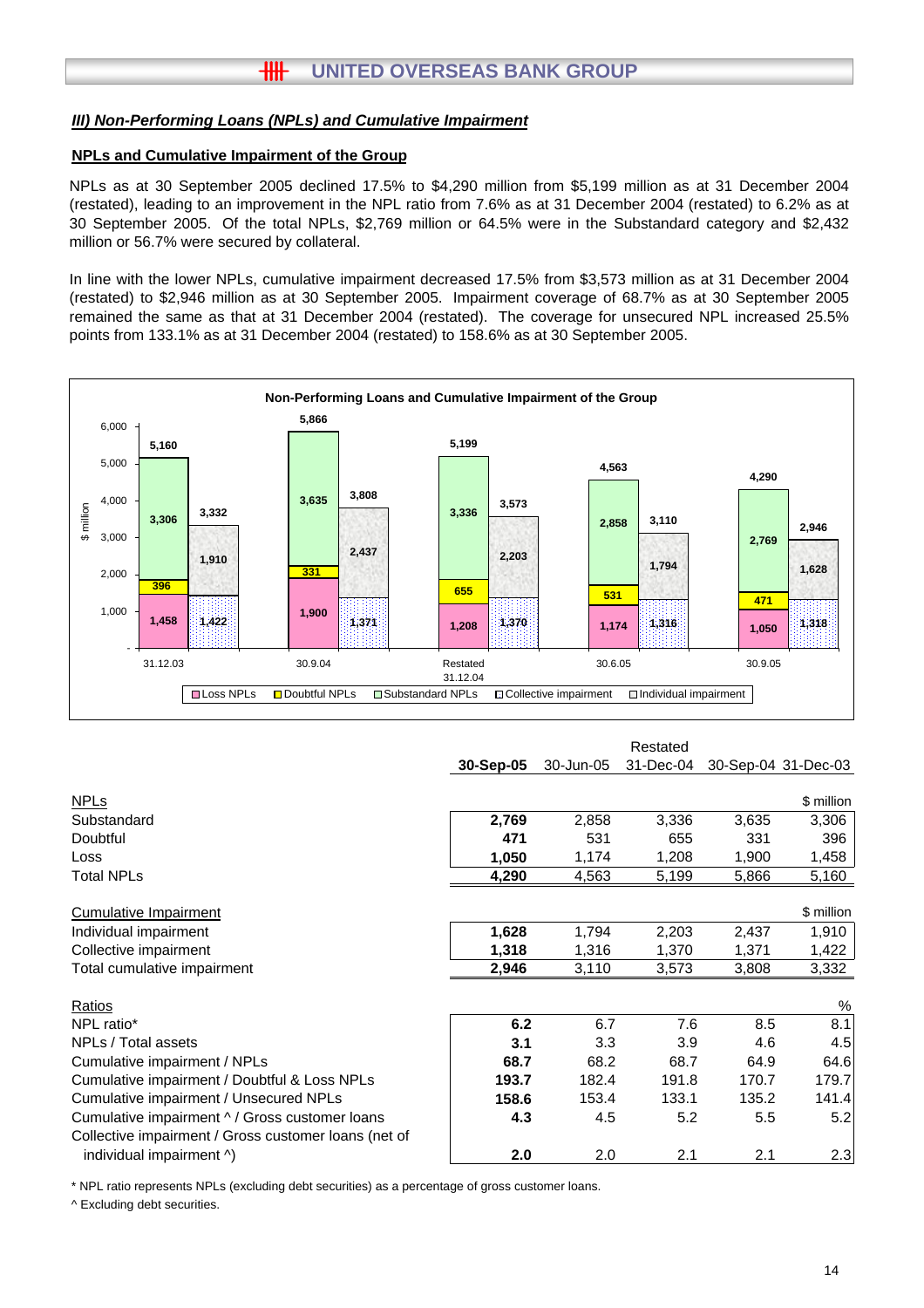## *III) Non-Performing Loans (NPLs) and Cumulative Impairment*

#### **NPLs and Cumulative Impairment of the Group**

NPLs as at 30 September 2005 declined 17.5% to \$4,290 million from \$5,199 million as at 31 December 2004 (restated), leading to an improvement in the NPL ratio from 7.6% as at 31 December 2004 (restated) to 6.2% as at 30 September 2005. Of the total NPLs, \$2,769 million or 64.5% were in the Substandard category and \$2,432 million or 56.7% were secured by collateral.

In line with the lower NPLs, cumulative impairment decreased 17.5% from \$3,573 million as at 31 December 2004 (restated) to \$2,946 million as at 30 September 2005. Impairment coverage of 68.7% as at 30 September 2005 remained the same as that at 31 December 2004 (restated). The coverage for unsecured NPL increased 25.5% points from 133.1% as at 31 December 2004 (restated) to 158.6% as at 30 September 2005.



|                                                      |           |           | Restated  |       |                     |
|------------------------------------------------------|-----------|-----------|-----------|-------|---------------------|
|                                                      | 30-Sep-05 | 30-Jun-05 | 31-Dec-04 |       | 30-Sep-04 31-Dec-03 |
|                                                      |           |           |           |       |                     |
| <u>NPLs</u>                                          |           |           |           |       | \$ million          |
| Substandard                                          | 2,769     | 2,858     | 3,336     | 3,635 | 3,306               |
| Doubtful                                             | 471       | 531       | 655       | 331   | 396                 |
| Loss                                                 | 1,050     | 1,174     | 1,208     | 1,900 | 1,458               |
| Total NPLs                                           | 4,290     | 4,563     | 5,199     | 5,866 | 5,160               |
| Cumulative Impairment                                |           |           |           |       | \$ million          |
| Individual impairment                                | 1,628     | 1,794     | 2,203     | 2,437 | 1,910               |
| Collective impairment                                | 1,318     | 1,316     | 1,370     | 1,371 | 1,422               |
| Total cumulative impairment                          | 2,946     | 3,110     | 3,573     | 3,808 | 3,332               |
| Ratios                                               |           |           |           |       | $\%$                |
| NPL ratio*                                           | 6.2       | 6.7       | 7.6       | 8.5   | 8.1                 |
|                                                      |           |           |           |       |                     |
| NPLs / Total assets                                  | 3.1       | 3.3       | 3.9       | 4.6   | 4.5                 |
| Cumulative impairment / NPLs                         | 68.7      | 68.2      | 68.7      | 64.9  | 64.6                |
| Cumulative impairment / Doubtful & Loss NPLs         | 193.7     | 182.4     | 191.8     | 170.7 | 179.7               |
| Cumulative impairment / Unsecured NPLs               | 158.6     | 153.4     | 133.1     | 135.2 | 141.4               |
| Cumulative impairment ^ / Gross customer loans       | 4.3       | 4.5       | 5.2       | 5.5   | 5.2                 |
| Collective impairment / Gross customer loans (net of |           |           |           |       |                     |
| individual impairment ^)                             | 2.0       | 2.0       | 2.1       | 2.1   | 2.3                 |

\* NPL ratio represents NPLs (excluding debt securities) as a percentage of gross customer loans.

^ Excluding debt securities.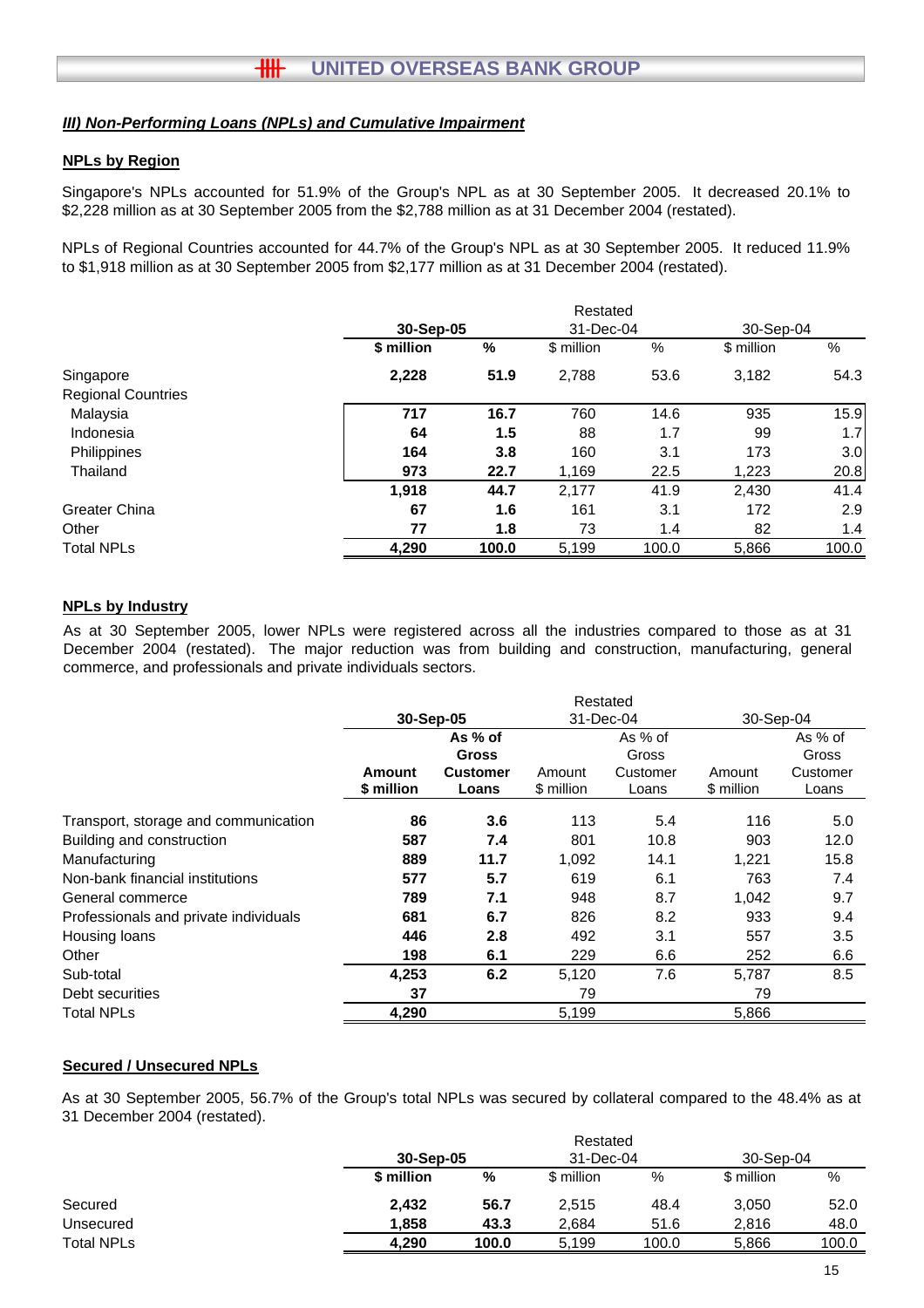## *III) Non-Performing Loans (NPLs) and Cumulative Impairment*

### **NPLs by Region**

Singapore's NPLs accounted for 51.9% of the Group's NPL as at 30 September 2005. It decreased 20.1% to \$2,228 million as at 30 September 2005 from the \$2,788 million as at 31 December 2004 (restated).

NPLs of Regional Countries accounted for 44.7% of the Group's NPL as at 30 September 2005. It reduced 11.9% to \$1,918 million as at 30 September 2005 from \$2,177 million as at 31 December 2004 (restated).

|                           |            |       | Restated   |       |            |       |
|---------------------------|------------|-------|------------|-------|------------|-------|
|                           | 30-Sep-05  |       | 31-Dec-04  |       | 30-Sep-04  |       |
|                           | \$ million | %     | \$ million | %     | \$ million | %     |
| Singapore                 | 2,228      | 51.9  | 2,788      | 53.6  | 3,182      | 54.3  |
| <b>Regional Countries</b> |            |       |            |       |            |       |
| Malaysia                  | 717        | 16.7  | 760        | 14.6  | 935        | 15.9  |
| Indonesia                 | 64         | 1.5   | 88         | 1.7   | 99         | 1.7   |
| Philippines               | 164        | 3.8   | 160        | 3.1   | 173        | 3.0   |
| Thailand                  | 973        | 22.7  | 1,169      | 22.5  | 1,223      | 20.8  |
|                           | 1,918      | 44.7  | 2.177      | 41.9  | 2.430      | 41.4  |
| Greater China             | 67         | 1.6   | 161        | 3.1   | 172        | 2.9   |
| Other                     | 77         | 1.8   | 73         | 1.4   | 82         | 1.4   |
| <b>Total NPLs</b>         | 4,290      | 100.0 | 5,199      | 100.0 | 5,866      | 100.0 |

#### **NPLs by Industry**

As at 30 September 2005, lower NPLs were registered across all the industries compared to those as at 31 December 2004 (restated). The major reduction was from building and construction, manufacturing, general commerce, and professionals and private individuals sectors.

|                                       | Restated      |                 |            |          |            |          |
|---------------------------------------|---------------|-----------------|------------|----------|------------|----------|
|                                       | 30-Sep-05     |                 | 31-Dec-04  |          | 30-Sep-04  |          |
|                                       |               | As % of         |            | As % of  |            | As % of  |
|                                       |               | <b>Gross</b>    |            | Gross    |            | Gross    |
|                                       | <b>Amount</b> | <b>Customer</b> | Amount     | Customer | Amount     | Customer |
|                                       | \$ million    | Loans           | \$ million | Loans    | \$ million | Loans    |
| Transport, storage and communication  | 86            | 3.6             | 113        | 5.4      | 116        | 5.0      |
| Building and construction             | 587           | 7.4             | 801        | 10.8     | 903        | 12.0     |
| Manufacturing                         | 889           | 11.7            | 1,092      | 14.1     | 1,221      | 15.8     |
| Non-bank financial institutions       | 577           | 5.7             | 619        | 6.1      | 763        | 7.4      |
| General commerce                      | 789           | 7.1             | 948        | 8.7      | 1,042      | 9.7      |
| Professionals and private individuals | 681           | 6.7             | 826        | 8.2      | 933        | 9.4      |
| Housing loans                         | 446           | 2.8             | 492        | 3.1      | 557        | 3.5      |
| Other                                 | 198           | 6.1             | 229        | 6.6      | 252        | 6.6      |
| Sub-total                             | 4,253         | 6.2             | 5,120      | 7.6      | 5,787      | 8.5      |
| Debt securities                       | 37            |                 | 79         |          | 79         |          |
| <b>Total NPLs</b>                     | 4,290         |                 | 5,199      |          | 5,866      |          |

#### **Secured / Unsecured NPLs**

As at 30 September 2005, 56.7% of the Group's total NPLs was secured by collateral compared to the 48.4% as at 31 December 2004 (restated).

Restated

|                   |            |           | Restated   |           |            |           |  |
|-------------------|------------|-----------|------------|-----------|------------|-----------|--|
|                   |            | 30-Sep-05 |            | 31-Dec-04 |            | 30-Sep-04 |  |
|                   | \$ million | %         | \$ million | %         | \$ million | %         |  |
| Secured           | 2.432      | 56.7      | 2,515      | 48.4      | 3.050      | 52.0      |  |
| Unsecured         | 1.858      | 43.3      | 2,684      | 51.6      | 2.816      | 48.0      |  |
| <b>Total NPLs</b> | 4.290      | 100.0     | 5.199      | 100.0     | 5.866      | 100.0     |  |
|                   |            |           |            |           |            |           |  |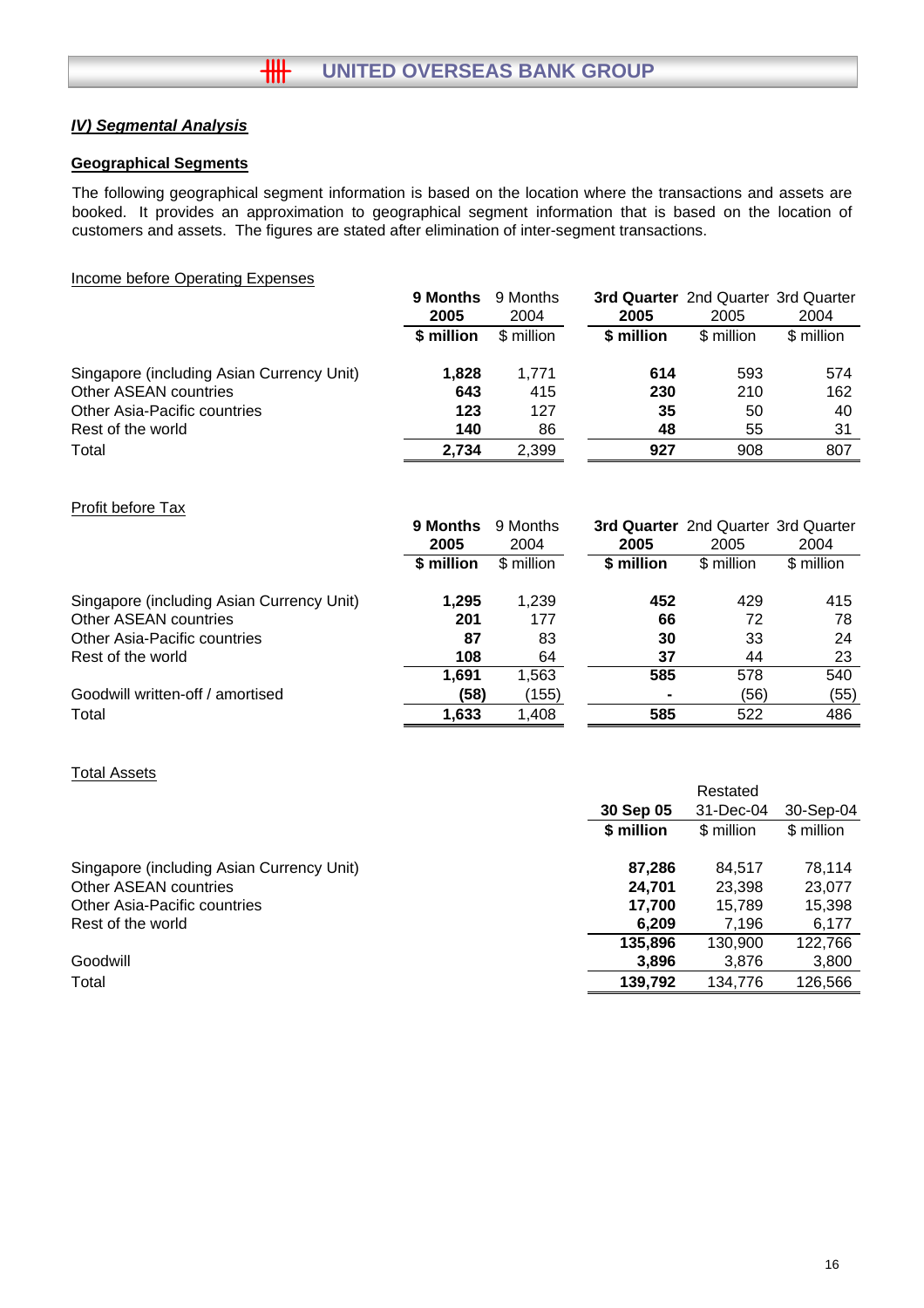## *IV) Segmental Analysis*

## **Geographical Segments**

The following geographical segment information is based on the location where the transactions and assets are booked. It provides an approximation to geographical segment information that is based on the location of customers and assets. The figures are stated after elimination of inter-segment transactions.

| Income before Operating Expenses          |            |            |            |                                            |            |
|-------------------------------------------|------------|------------|------------|--------------------------------------------|------------|
|                                           | 9 Months   | 9 Months   |            | <b>3rd Quarter</b> 2nd Quarter 3rd Quarter |            |
|                                           | 2005       | 2004       | 2005       | 2005                                       | 2004       |
|                                           | \$ million | \$ million | \$ million | \$ million                                 | \$ million |
| Singapore (including Asian Currency Unit) | 1.828      | 1.771      | 614        | 593                                        | 574        |
| Other ASEAN countries                     | 643        | 415        | 230        | 210                                        | 162        |
| Other Asia-Pacific countries              | 123        | 127        | 35         | 50                                         | 40         |
| Rest of the world                         | 140        | 86         | 48         | 55                                         | 31         |
| Total                                     | 2.734      | 2.399      | 927        | 908                                        | 807        |

## Profit before Tax

|                                           | 9 Months<br>2005 | 9 Months<br>2004 | 2005       | <b>3rd Quarter</b> 2nd Quarter 3rd Quarter<br>2005 | 2004       |
|-------------------------------------------|------------------|------------------|------------|----------------------------------------------------|------------|
|                                           | \$ million       | \$ million       | \$ million | \$ million                                         | \$ million |
| Singapore (including Asian Currency Unit) | 1,295            | 1.239            | 452        | 429                                                | 415        |
| Other ASEAN countries                     | 201              | 177              | 66         | 72                                                 | 78         |
| Other Asia-Pacific countries              | 87               | 83               | 30         | 33                                                 | 24         |
| Rest of the world                         | 108              | 64               | 37         | 44                                                 | 23         |
|                                           | 1,691            | 1.563            | 585        | 578                                                | 540        |
| Goodwill written-off / amortised          | (58)             | (155)            |            | (56)                                               | (55)       |
| Total                                     | 1,633            | 1,408            | 585        | 522                                                | 486        |

## Total Assets

|                                           |            | Restated   |            |
|-------------------------------------------|------------|------------|------------|
|                                           | 30 Sep 05  | 31-Dec-04  | 30-Sep-04  |
|                                           | \$ million | \$ million | \$ million |
| Singapore (including Asian Currency Unit) | 87,286     | 84.517     | 78,114     |
| Other ASEAN countries                     | 24,701     | 23.398     | 23,077     |
| Other Asia-Pacific countries              | 17.700     | 15.789     | 15,398     |
| Rest of the world                         | 6,209      | 7,196      | 6,177      |
|                                           | 135,896    | 130,900    | 122,766    |
| Goodwill                                  | 3,896      | 3,876      | 3,800      |
| Total                                     | 139,792    | 134,776    | 126,566    |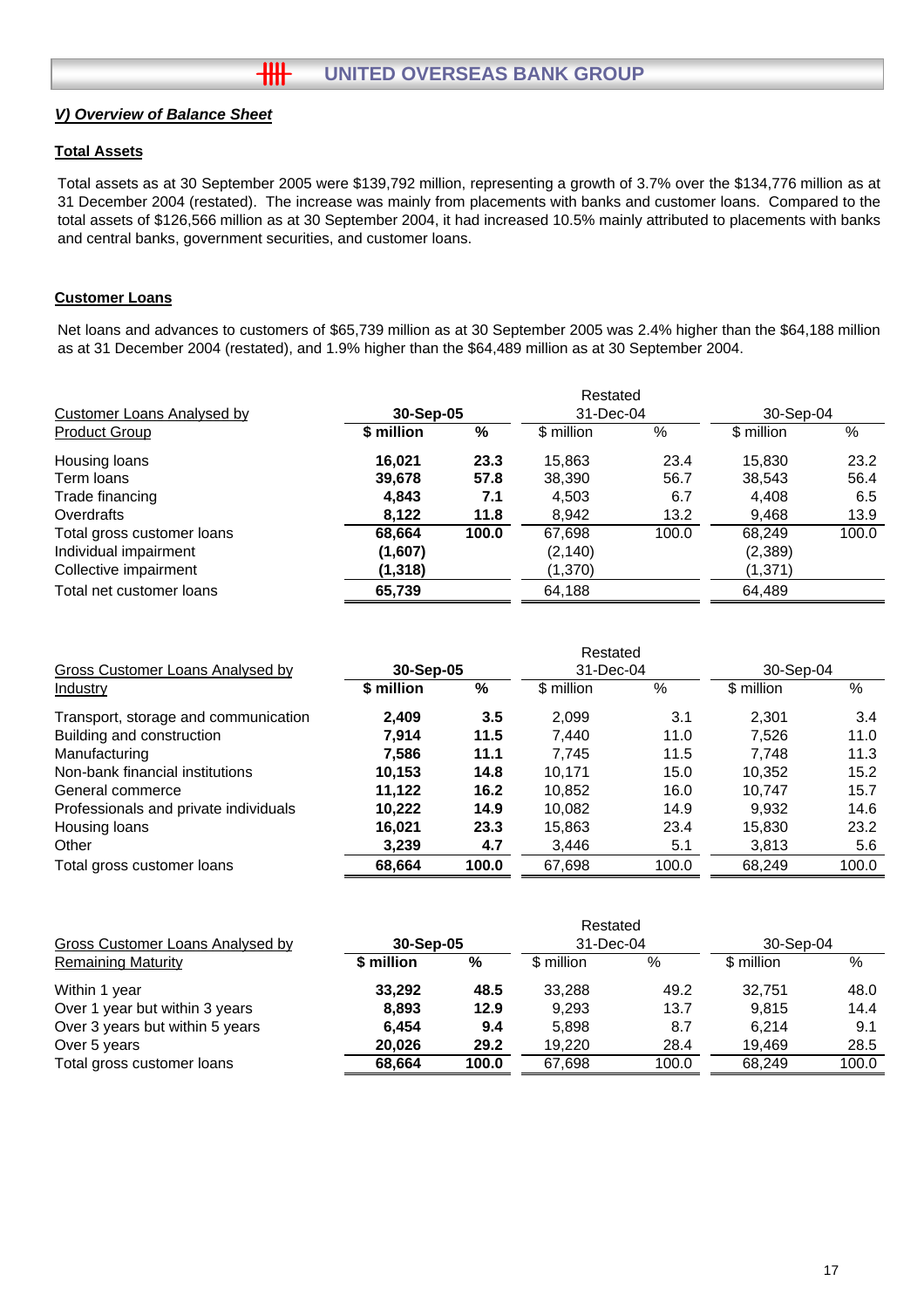## *V) Overview of Balance Sheet*

## **Total Assets**

Total assets as at 30 September 2005 were \$139,792 million, representing a growth of 3.7% over the \$134,776 million as at 31 December 2004 (restated). The increase was mainly from placements with banks and customer loans. Compared to the total assets of \$126,566 million as at 30 September 2004, it had increased 10.5% mainly attributed to placements with banks and central banks, government securities, and customer loans.

## **Customer Loans**

Net loans and advances to customers of \$65,739 million as at 30 September 2005 was 2.4% higher than the \$64,188 million as at 31 December 2004 (restated), and 1.9% higher than the \$64,489 million as at 30 September 2004.

|                                   | Restated   |       |            |       |            |       |  |  |
|-----------------------------------|------------|-------|------------|-------|------------|-------|--|--|
| <b>Customer Loans Analysed by</b> | 30-Sep-05  |       | 31-Dec-04  |       | 30-Sep-04  |       |  |  |
| <b>Product Group</b>              | \$ million | %     | \$ million | %     | \$ million | $\%$  |  |  |
| Housing loans                     | 16.021     | 23.3  | 15,863     | 23.4  | 15,830     | 23.2  |  |  |
| Term loans                        | 39,678     | 57.8  | 38,390     | 56.7  | 38,543     | 56.4  |  |  |
| Trade financing                   | 4,843      | 7.1   | 4,503      | 6.7   | 4,408      | 6.5   |  |  |
| Overdrafts                        | 8,122      | 11.8  | 8.942      | 13.2  | 9.468      | 13.9  |  |  |
| Total gross customer loans        | 68,664     | 100.0 | 67,698     | 100.0 | 68,249     | 100.0 |  |  |
| Individual impairment             | (1,607)    |       | (2, 140)   |       | (2,389)    |       |  |  |
| Collective impairment             | (1, 318)   |       | (1,370)    |       | (1, 371)   |       |  |  |
| Total net customer loans          | 65,739     |       | 64,188     |       | 64,489     |       |  |  |

|                                       | Restated   |       |            |       |            |       |  |
|---------------------------------------|------------|-------|------------|-------|------------|-------|--|
| Gross Customer Loans Analysed by      | 30-Sep-05  |       | 31-Dec-04  |       | 30-Sep-04  |       |  |
| Industry                              | \$ million | %     | \$ million | %     | \$ million | $\%$  |  |
| Transport, storage and communication  | 2.409      | 3.5   | 2.099      | 3.1   | 2.301      | 3.4   |  |
| Building and construction             | 7.914      | 11.5  | 7.440      | 11.0  | 7.526      | 11.0  |  |
| Manufacturing                         | 7.586      | 11.1  | 7.745      | 11.5  | 7.748      | 11.3  |  |
| Non-bank financial institutions       | 10,153     | 14.8  | 10.171     | 15.0  | 10,352     | 15.2  |  |
| General commerce                      | 11.122     | 16.2  | 10.852     | 16.0  | 10.747     | 15.7  |  |
| Professionals and private individuals | 10.222     | 14.9  | 10.082     | 14.9  | 9.932      | 14.6  |  |
| Housing loans                         | 16.021     | 23.3  | 15.863     | 23.4  | 15,830     | 23.2  |  |
| Other                                 | 3,239      | 4.7   | 3,446      | 5.1   | 3,813      | 5.6   |  |
| Total gross customer loans            | 68,664     | 100.0 | 67,698     | 100.0 | 68,249     | 100.0 |  |

|                                  |            |       | Restated   |       |            |       |
|----------------------------------|------------|-------|------------|-------|------------|-------|
| Gross Customer Loans Analysed by | 30-Sep-05  |       | 31-Dec-04  |       | 30-Sep-04  |       |
| <b>Remaining Maturity</b>        | \$ million | %     | \$ million | %     | \$ million | $\%$  |
| Within 1 year                    | 33.292     | 48.5  | 33.288     | 49.2  | 32.751     | 48.0  |
| Over 1 year but within 3 years   | 8,893      | 12.9  | 9.293      | 13.7  | 9.815      | 14.4  |
| Over 3 years but within 5 years  | 6.454      | 9.4   | 5.898      | 8.7   | 6.214      | 9.1   |
| Over 5 years                     | 20,026     | 29.2  | 19.220     | 28.4  | 19.469     | 28.5  |
| Total gross customer loans       | 68.664     | 100.0 | 67.698     | 100.0 | 68.249     | 100.0 |
|                                  |            |       |            |       |            |       |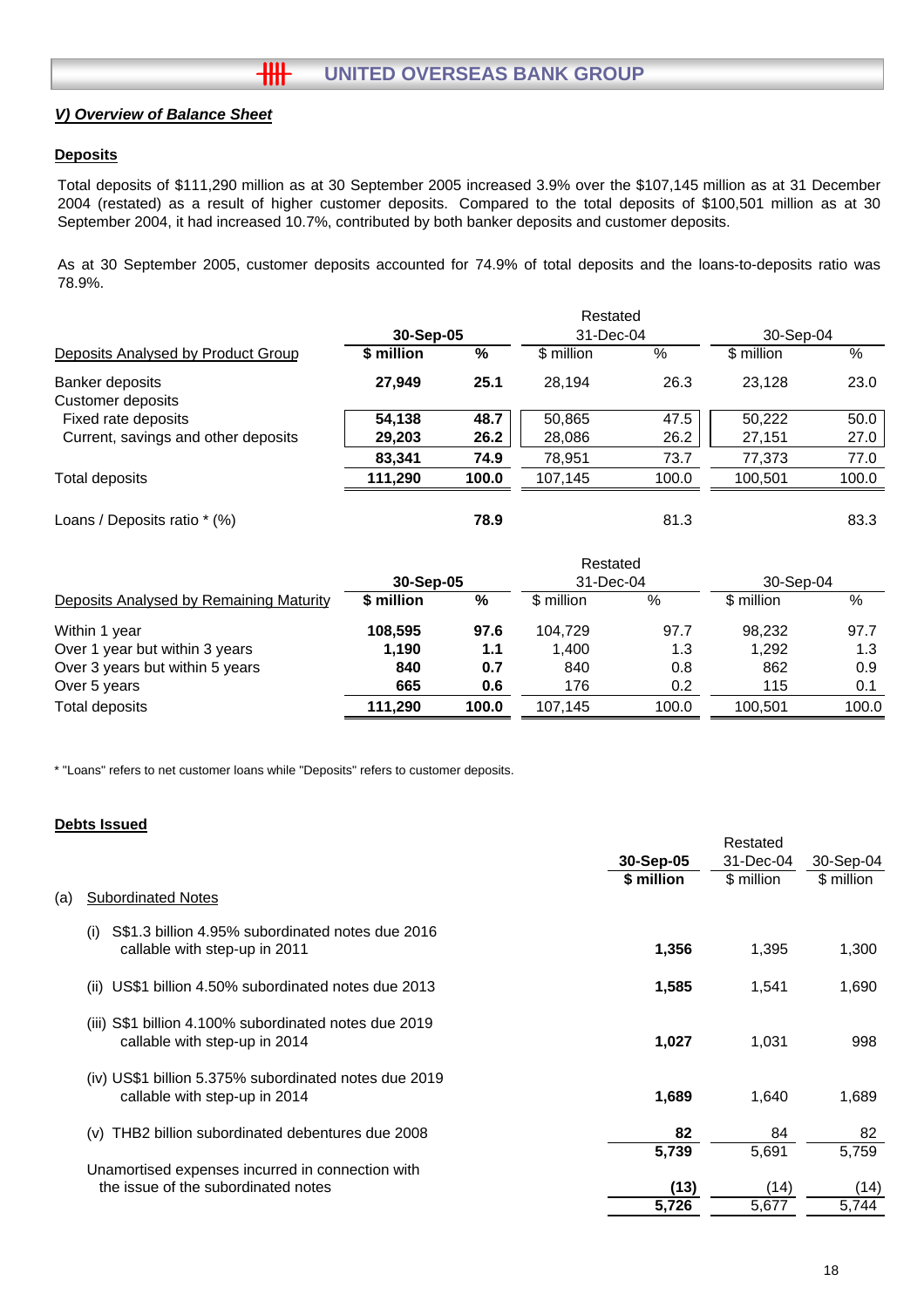## *V) Overview of Balance Sheet*

### **Deposits**

Total deposits of \$111,290 million as at 30 September 2005 increased 3.9% over the \$107,145 million as at 31 December 2004 (restated) as a result of higher customer deposits. Compared to the total deposits of \$100,501 million as at 30 September 2004, it had increased 10.7%, contributed by both banker deposits and customer deposits.

As at 30 September 2005, customer deposits accounted for 74.9% of total deposits and the loans-to-deposits ratio was 78.9%.

|                                      |            | Restated |            |       |            |       |  |  |  |
|--------------------------------------|------------|----------|------------|-------|------------|-------|--|--|--|
|                                      | 30-Sep-05  |          | 31-Dec-04  |       | 30-Sep-04  |       |  |  |  |
| Deposits Analysed by Product Group   | \$ million | %        | \$ million | %     | \$ million | %     |  |  |  |
| Banker deposits<br>Customer deposits | 27.949     | 25.1     | 28.194     | 26.3  | 23.128     | 23.0  |  |  |  |
| Fixed rate deposits                  | 54.138     | 48.7     | 50,865     | 47.5  | 50.222     | 50.0  |  |  |  |
| Current, savings and other deposits  | 29,203     | 26.2     | 28,086     | 26.2  | 27,151     | 27.0  |  |  |  |
|                                      | 83.341     | 74.9     | 78.951     | 73.7  | 77.373     | 77.0  |  |  |  |
| Total deposits                       | 111,290    | 100.0    | 107.145    | 100.0 | 100.501    | 100.0 |  |  |  |
|                                      |            |          |            |       |            |       |  |  |  |

Loans / Deposits ratio \* (%) **78.9** 81.3 83.3

|                                         |            |       | Restated   |       |            |       |
|-----------------------------------------|------------|-------|------------|-------|------------|-------|
|                                         | 30-Sep-05  |       | 31-Dec-04  |       | 30-Sep-04  |       |
| Deposits Analysed by Remaining Maturity | \$ million | %     | \$ million | %     | \$ million | %     |
| Within 1 year                           | 108,595    | 97.6  | 104.729    | 97.7  | 98.232     | 97.7  |
| Over 1 year but within 3 years          | 1,190      | 1.1   | 1.400      | 1.3   | 1.292      | 1.3   |
| Over 3 years but within 5 years         | 840        | 0.7   | 840        | 0.8   | 862        | 0.9   |
| Over 5 years                            | 665        | 0.6   | 176        | 0.2   | 115        | 0.1   |
| Total deposits                          | 111,290    | 100.0 | 107.145    | 100.0 | 100.501    | 100.0 |
|                                         |            |       |            |       |            |       |

\* "Loans" refers to net customer loans while "Deposits" refers to customer deposits.

#### **Debts Issued**

|     |                                                                                           |            | Restated   |            |  |
|-----|-------------------------------------------------------------------------------------------|------------|------------|------------|--|
|     |                                                                                           | 30-Sep-05  | 31-Dec-04  | 30-Sep-04  |  |
|     |                                                                                           | \$ million | \$ million | \$ million |  |
| (a) | <b>Subordinated Notes</b>                                                                 |            |            |            |  |
|     | S\$1.3 billion 4.95% subordinated notes due 2016<br>(i)                                   |            |            |            |  |
|     | callable with step-up in 2011                                                             | 1,356      | 1,395      | 1,300      |  |
|     | US\$1 billion 4.50% subordinated notes due 2013<br>(ii)                                   | 1,585      | 1,541      | 1,690      |  |
|     |                                                                                           |            |            |            |  |
|     | S\$1 billion 4.100% subordinated notes due 2019<br>(III)<br>callable with step-up in 2014 | 1,027      | 1,031      | 998        |  |
|     | (iv) US\$1 billion 5.375% subordinated notes due 2019                                     |            |            |            |  |
|     | callable with step-up in 2014                                                             | 1,689      | 1,640      | 1,689      |  |
|     | THB2 billion subordinated debentures due 2008<br>(v)                                      | 82         | 84         | 82         |  |
|     |                                                                                           | 5,739      | 5,691      | 5,759      |  |
|     | Unamortised expenses incurred in connection with                                          |            |            |            |  |
|     | the issue of the subordinated notes                                                       | (13)       | (14)       | (14)       |  |
|     |                                                                                           | 5,726      | 5,677      | 5,744      |  |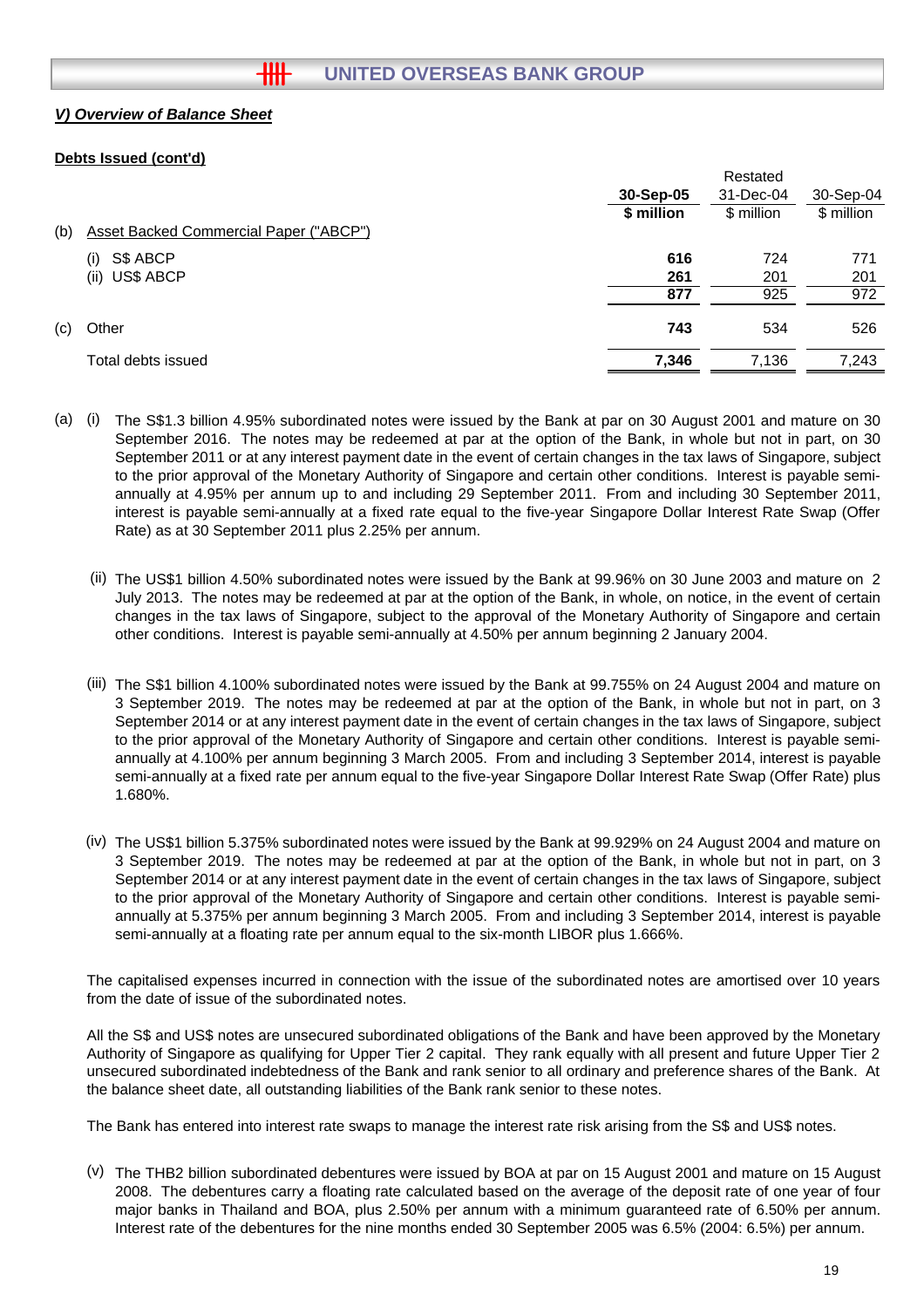## **UNITED OVERSEAS BANK GROUP**

## *V) Overview of Balance Sheet*

## **Debts Issued (cont'd)**

|     |                                               |            | Restated   |            |
|-----|-----------------------------------------------|------------|------------|------------|
|     |                                               | 30-Sep-05  | 31-Dec-04  | 30-Sep-04  |
|     |                                               | \$ million | \$ million | \$ million |
| (b) | <b>Asset Backed Commercial Paper ("ABCP")</b> |            |            |            |
|     | S\$ ABCP<br>(i)                               | 616        | 724        | 771        |
|     | (ii) US\$ ABCP                                | 261        | 201        | 201        |
|     |                                               | 877        | 925        | 972        |
| (c) | Other                                         | 743        | 534        | 526        |
|     | Total debts issued                            | 7,346      | 7,136      | 7,243      |
|     |                                               |            |            |            |

- (a) (i) The S\$1.3 billion 4.95% subordinated notes were issued by the Bank at par on 30 August 2001 and mature on 30 September 2016. The notes may be redeemed at par at the option of the Bank, in whole but not in part, on 30 September 2011 or at any interest payment date in the event of certain changes in the tax laws of Singapore, subject to the prior approval of the Monetary Authority of Singapore and certain other conditions. Interest is payable semiannually at 4.95% per annum up to and including 29 September 2011. From and including 30 September 2011, interest is payable semi-annually at a fixed rate equal to the five-year Singapore Dollar Interest Rate Swap (Offer Rate) as at 30 September 2011 plus 2.25% per annum.
	- (ii) The US\$1 billion 4.50% subordinated notes were issued by the Bank at 99.96% on 30 June 2003 and mature on 2 July 2013. The notes may be redeemed at par at the option of the Bank, in whole, on notice, in the event of certain changes in the tax laws of Singapore, subject to the approval of the Monetary Authority of Singapore and certain other conditions. Interest is payable semi-annually at 4.50% per annum beginning 2 January 2004.
	- (iii) The S\$1 billion 4.100% subordinated notes were issued by the Bank at 99.755% on 24 August 2004 and mature on 3 September 2019. The notes may be redeemed at par at the option of the Bank, in whole but not in part, on 3 September 2014 or at any interest payment date in the event of certain changes in the tax laws of Singapore, subject to the prior approval of the Monetary Authority of Singapore and certain other conditions. Interest is payable semiannually at 4.100% per annum beginning 3 March 2005. From and including 3 September 2014, interest is payable semi-annually at a fixed rate per annum equal to the five-year Singapore Dollar Interest Rate Swap (Offer Rate) plus 1.680%.
	- (iv) The US\$1 billion 5.375% subordinated notes were issued by the Bank at 99.929% on 24 August 2004 and mature on 3 September 2019. The notes may be redeemed at par at the option of the Bank, in whole but not in part, on 3 September 2014 or at any interest payment date in the event of certain changes in the tax laws of Singapore, subject to the prior approval of the Monetary Authority of Singapore and certain other conditions. Interest is payable semiannually at 5.375% per annum beginning 3 March 2005. From and including 3 September 2014, interest is payable semi-annually at a floating rate per annum equal to the six-month LIBOR plus 1.666%.

The capitalised expenses incurred in connection with the issue of the subordinated notes are amortised over 10 years from the date of issue of the subordinated notes.

All the S\$ and US\$ notes are unsecured subordinated obligations of the Bank and have been approved by the Monetary Authority of Singapore as qualifying for Upper Tier 2 capital. They rank equally with all present and future Upper Tier 2 unsecured subordinated indebtedness of the Bank and rank senior to all ordinary and preference shares of the Bank. At the balance sheet date, all outstanding liabilities of the Bank rank senior to these notes.

The Bank has entered into interest rate swaps to manage the interest rate risk arising from the S\$ and US\$ notes.

(v) The THB2 billion subordinated debentures were issued by BOA at par on 15 August 2001 and mature on 15 August 2008. The debentures carry a floating rate calculated based on the average of the deposit rate of one year of four major banks in Thailand and BOA, plus 2.50% per annum with a minimum guaranteed rate of 6.50% per annum. Interest rate of the debentures for the nine months ended 30 September 2005 was 6.5% (2004: 6.5%) per annum.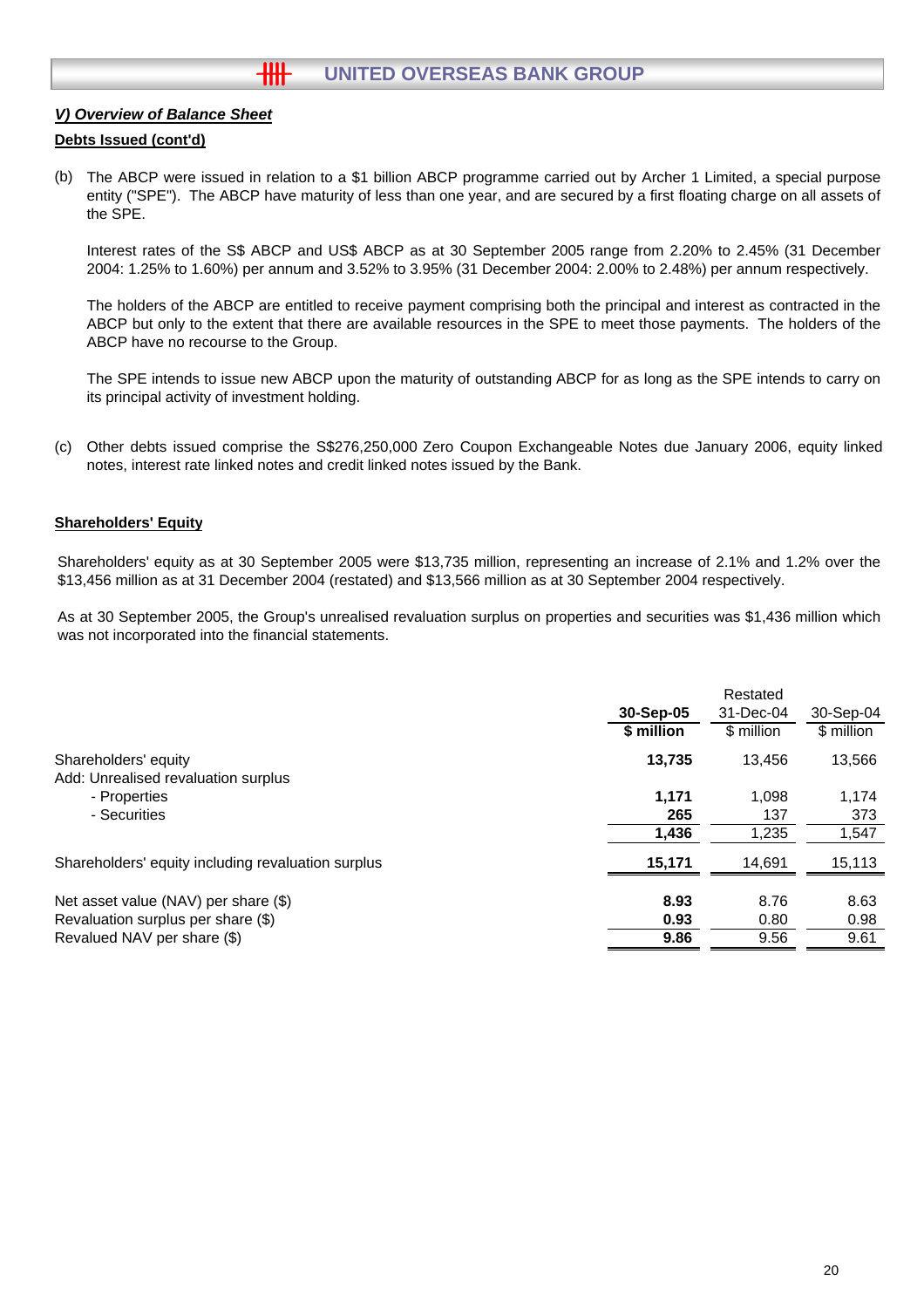## **HH UNITED OVERSEAS BANK GROUP**

## *V) Overview of Balance Sheet*

### **Debts Issued (cont'd)**

(b) The ABCP were issued in relation to a \$1 billion ABCP programme carried out by Archer 1 Limited, a special purpose entity ("SPE"). The ABCP have maturity of less than one year, and are secured by a first floating charge on all assets of the SPE.

Interest rates of the S\$ ABCP and US\$ ABCP as at 30 September 2005 range from 2.20% to 2.45% (31 December 2004: 1.25% to 1.60%) per annum and 3.52% to 3.95% (31 December 2004: 2.00% to 2.48%) per annum respectively.

The holders of the ABCP are entitled to receive payment comprising both the principal and interest as contracted in the ABCP but only to the extent that there are available resources in the SPE to meet those payments. The holders of the ABCP have no recourse to the Group.

The SPE intends to issue new ABCP upon the maturity of outstanding ABCP for as long as the SPE intends to carry on its principal activity of investment holding.

(c) Other debts issued comprise the S\$276,250,000 Zero Coupon Exchangeable Notes due January 2006, equity linked notes, interest rate linked notes and credit linked notes issued by the Bank.

#### **Shareholders' Equity**

Shareholders' equity as at 30 September 2005 were \$13,735 million, representing an increase of 2.1% and 1.2% over the \$13,456 million as at 31 December 2004 (restated) and \$13,566 million as at 30 September 2004 respectively.

As at 30 September 2005, the Group's unrealised revaluation surplus on properties and securities was \$1,436 million which was not incorporated into the financial statements.

|                                                    | 30-Sep-05<br>\$ million | Restated<br>31-Dec-04<br>\$ million | 30-Sep-04<br>\$ million |
|----------------------------------------------------|-------------------------|-------------------------------------|-------------------------|
| Shareholders' equity                               | 13,735                  | 13.456                              | 13,566                  |
| Add: Unrealised revaluation surplus                |                         |                                     |                         |
| - Properties                                       | 1.171                   | 1.098                               | 1,174                   |
| - Securities                                       | 265                     | 137                                 | 373                     |
|                                                    | 1,436                   | 1,235                               | 1,547                   |
| Shareholders' equity including revaluation surplus | 15,171                  | 14,691                              | 15,113                  |
| Net asset value (NAV) per share (\$)               | 8.93                    | 8.76                                | 8.63                    |
| Revaluation surplus per share (\$)                 | 0.93                    | 0.80                                | 0.98                    |
| Revalued NAV per share (\$)                        | 9.86                    | 9.56                                | 9.61                    |
|                                                    |                         |                                     |                         |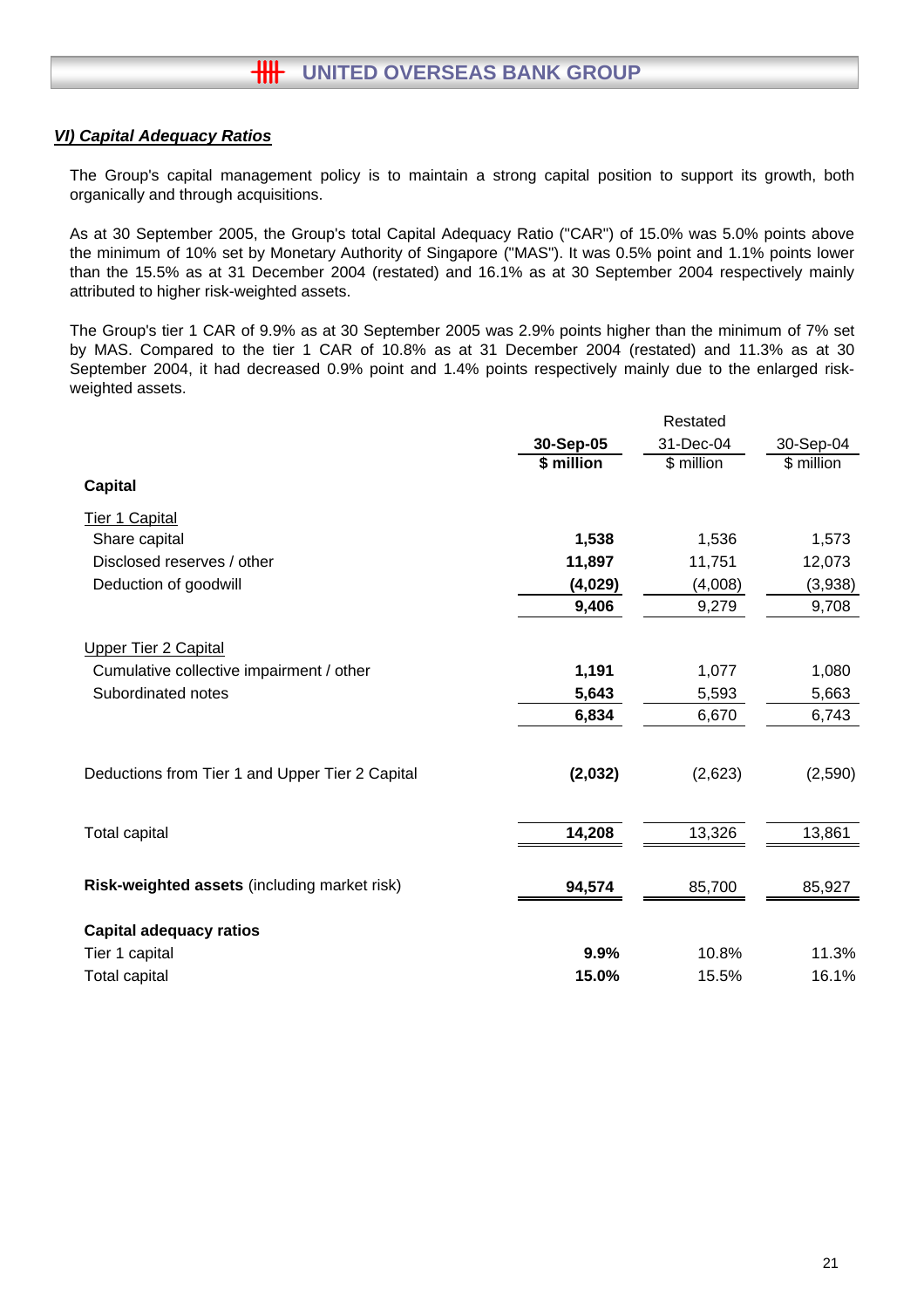## *VI) Capital Adequacy Ratios*

The Group's capital management policy is to maintain a strong capital position to support its growth, both organically and through acquisitions.

As at 30 September 2005, the Group's total Capital Adequacy Ratio ("CAR") of 15.0% was 5.0% points above the minimum of 10% set by Monetary Authority of Singapore ("MAS"). It was 0.5% point and 1.1% points lower than the 15.5% as at 31 December 2004 (restated) and 16.1% as at 30 September 2004 respectively mainly attributed to higher risk-weighted assets.

The Group's tier 1 CAR of 9.9% as at 30 September 2005 was 2.9% points higher than the minimum of 7% set by MAS. Compared to the tier 1 CAR of 10.8% as at 31 December 2004 (restated) and 11.3% as at 30 September 2004, it had decreased 0.9% point and 1.4% points respectively mainly due to the enlarged riskweighted assets.

|                                                 | Restated   |            |            |  |  |
|-------------------------------------------------|------------|------------|------------|--|--|
|                                                 | 30-Sep-05  | 31-Dec-04  | 30-Sep-04  |  |  |
|                                                 | \$ million | \$ million | \$ million |  |  |
| <b>Capital</b>                                  |            |            |            |  |  |
| <b>Tier 1 Capital</b>                           |            |            |            |  |  |
| Share capital                                   | 1,538      | 1,536      | 1,573      |  |  |
| Disclosed reserves / other                      | 11,897     | 11,751     | 12,073     |  |  |
| Deduction of goodwill                           | (4,029)    | (4,008)    | (3,938)    |  |  |
|                                                 | 9,406      | 9,279      | 9,708      |  |  |
| <b>Upper Tier 2 Capital</b>                     |            |            |            |  |  |
| Cumulative collective impairment / other        | 1,191      | 1,077      | 1,080      |  |  |
| Subordinated notes                              | 5,643      | 5,593      | 5,663      |  |  |
|                                                 | 6,834      | 6,670      | 6,743      |  |  |
|                                                 |            |            |            |  |  |
| Deductions from Tier 1 and Upper Tier 2 Capital | (2,032)    | (2,623)    | (2,590)    |  |  |
|                                                 |            |            |            |  |  |
| <b>Total capital</b>                            | 14,208     | 13,326     | 13,861     |  |  |
| Risk-weighted assets (including market risk)    | 94,574     | 85,700     | 85,927     |  |  |
| <b>Capital adequacy ratios</b>                  |            |            |            |  |  |
| Tier 1 capital                                  | 9.9%       | 10.8%      | 11.3%      |  |  |
| <b>Total capital</b>                            | 15.0%      | 15.5%      | 16.1%      |  |  |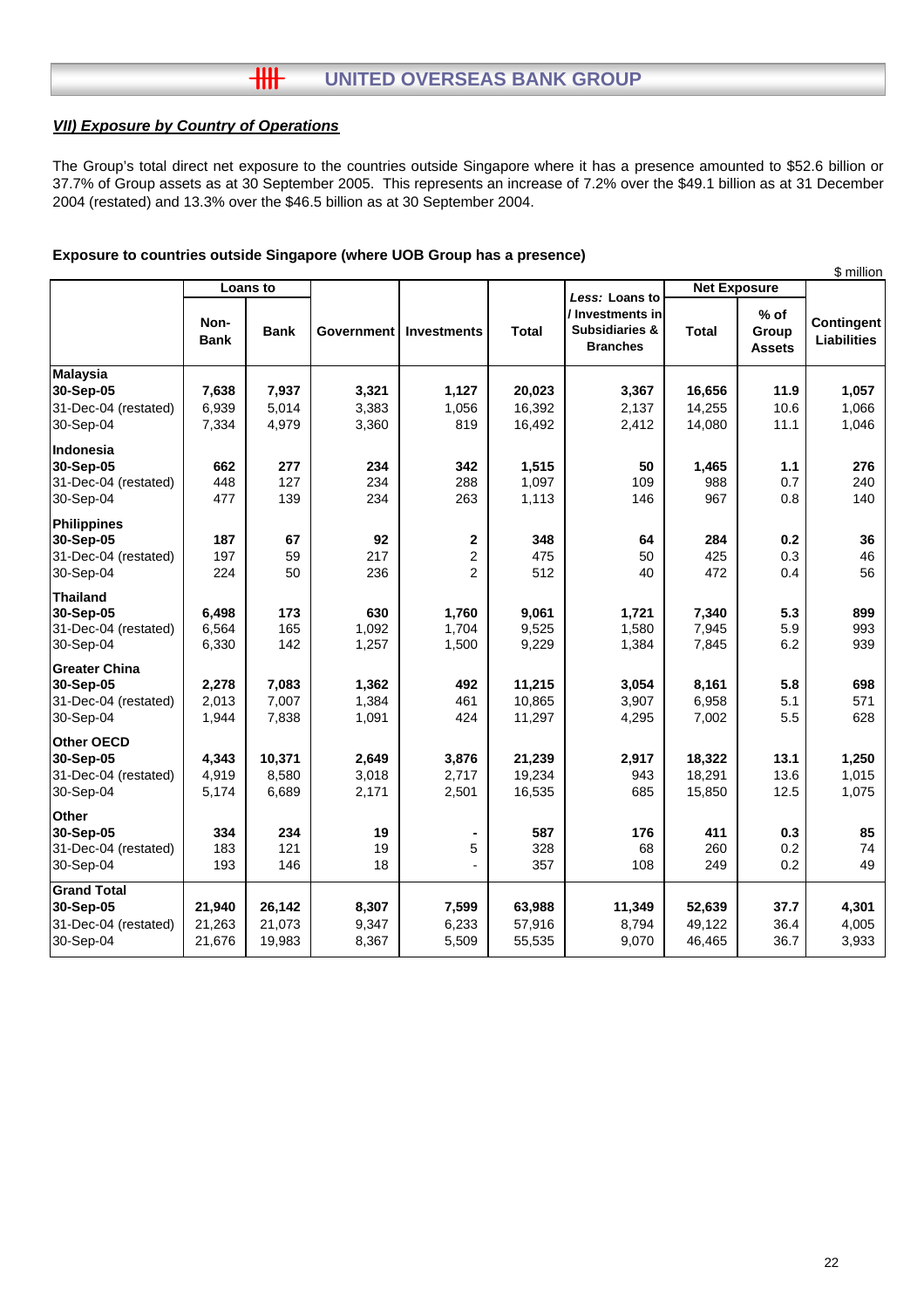#### $H$ **UNITED OVERSEAS BANK GROUP**

## *VII) Exposure by Country of Operations*

The Group's total direct net exposure to the countries outside Singapore where it has a presence amounted to \$52.6 billion or 37.7% of Group assets as at 30 September 2005. This represents an increase of 7.2% over the \$49.1 billion as at 31 December 2004 (restated) and 13.3% over the \$46.5 billion as at 30 September 2004.

#### **Exposure to countries outside Singapore (where UOB Group has a presence)**

|                                                                      |                         |                          |                         |                                                 |                            |                                                                  |                            |                                  | \$ million                       |  |
|----------------------------------------------------------------------|-------------------------|--------------------------|-------------------------|-------------------------------------------------|----------------------------|------------------------------------------------------------------|----------------------------|----------------------------------|----------------------------------|--|
|                                                                      | Loans to                |                          |                         |                                                 |                            | Less: Loans to                                                   |                            | <b>Net Exposure</b>              |                                  |  |
|                                                                      | Non-<br><b>Bank</b>     | <b>Bank</b>              | <b>Government</b>       | <b>Investments</b>                              | <b>Total</b>               | / Investments in<br><b>Subsidiaries &amp;</b><br><b>Branches</b> | <b>Total</b>               | $%$ of<br>Group<br><b>Assets</b> | Contingent<br><b>Liabilities</b> |  |
| <b>Malaysia</b>                                                      |                         |                          |                         |                                                 |                            |                                                                  |                            |                                  |                                  |  |
| 30-Sep-05                                                            | 7,638                   | 7,937                    | 3,321                   | 1,127                                           | 20,023                     | 3,367                                                            | 16,656                     | 11.9                             | 1,057                            |  |
| 31-Dec-04 (restated)                                                 | 6,939                   | 5,014                    | 3,383                   | 1,056                                           | 16,392                     | 2,137                                                            | 14,255                     | 10.6                             | 1,066                            |  |
| 30-Sep-04                                                            | 7,334                   | 4,979                    | 3,360                   | 819                                             | 16,492                     | 2,412                                                            | 14,080                     | 11.1                             | 1,046                            |  |
| Indonesia<br>30-Sep-05<br>31-Dec-04 (restated)                       | 662<br>448              | 277<br>127               | 234<br>234              | 342<br>288                                      | 1,515<br>1,097             | 50<br>109                                                        | 1,465<br>988               | 1.1<br>0.7                       | 276<br>240                       |  |
| 30-Sep-04                                                            | 477                     | 139                      | 234                     | 263                                             | 1,113                      | 146                                                              | 967                        | 0.8                              | 140                              |  |
| <b>Philippines</b><br>30-Sep-05<br>31-Dec-04 (restated)<br>30-Sep-04 | 187<br>197<br>224       | 67<br>59<br>50           | 92<br>217<br>236        | $\mathbf 2$<br>$\overline{c}$<br>$\overline{2}$ | 348<br>475<br>512          | 64<br>50<br>40                                                   | 284<br>425<br>472          | 0.2<br>0.3<br>0.4                | 36<br>46<br>56                   |  |
| Thailand                                                             |                         |                          |                         |                                                 |                            |                                                                  |                            |                                  |                                  |  |
| 30-Sep-05<br>31-Dec-04 (restated)<br>30-Sep-04                       | 6,498<br>6,564<br>6,330 | 173<br>165<br>142        | 630<br>1,092<br>1,257   | 1,760<br>1,704<br>1,500                         | 9,061<br>9,525<br>9,229    | 1,721<br>1,580<br>1,384                                          | 7,340<br>7,945<br>7,845    | 5.3<br>5.9<br>6.2                | 899<br>993<br>939                |  |
| <b>Greater China</b>                                                 |                         |                          |                         |                                                 |                            |                                                                  |                            |                                  |                                  |  |
| 30-Sep-05                                                            | 2,278                   | 7,083                    | 1,362                   | 492                                             | 11,215                     | 3,054                                                            | 8,161                      | 5.8                              | 698                              |  |
| 31-Dec-04 (restated)                                                 | 2,013                   | 7,007                    | 1,384                   | 461                                             | 10,865                     | 3,907                                                            | 6,958                      | 5.1                              | 571                              |  |
| 30-Sep-04                                                            | 1,944                   | 7,838                    | 1,091                   | 424                                             | 11,297                     | 4,295                                                            | 7,002                      | 5.5                              | 628                              |  |
| Other OECD<br>30-Sep-05<br>31-Dec-04 (restated)<br>30-Sep-04         | 4,343<br>4,919<br>5,174 | 10,371<br>8,580<br>6,689 | 2,649<br>3,018<br>2,171 | 3,876<br>2,717<br>2,501                         | 21,239<br>19,234<br>16,535 | 2,917<br>943<br>685                                              | 18,322<br>18,291<br>15,850 | 13.1<br>13.6<br>12.5             | 1,250<br>1,015<br>1,075          |  |
| <b>Other</b>                                                         |                         |                          |                         |                                                 |                            |                                                                  |                            |                                  |                                  |  |
| 30-Sep-05                                                            | 334                     | 234                      | 19                      |                                                 | 587                        | 176                                                              | 411                        | 0.3                              | 85                               |  |
| 31-Dec-04 (restated)<br>30-Sep-04                                    | 183<br>193              | 121<br>146               | 19<br>18                | 5                                               | 328<br>357                 | 68<br>108                                                        | 260<br>249                 | 0.2<br>0.2                       | 74<br>49                         |  |
| <b>Grand Total</b><br>30-Sep-05                                      | 21,940                  | 26,142                   | 8,307                   | 7,599                                           | 63,988                     | 11,349                                                           | 52,639                     | 37.7                             | 4,301                            |  |
| 31-Dec-04 (restated)<br>30-Sep-04                                    | 21,263<br>21,676        | 21,073<br>19,983         | 9,347<br>8,367          | 6,233<br>5,509                                  | 57,916<br>55,535           | 8,794<br>9,070                                                   | 49,122<br>46,465           | 36.4<br>36.7                     | 4,005<br>3,933                   |  |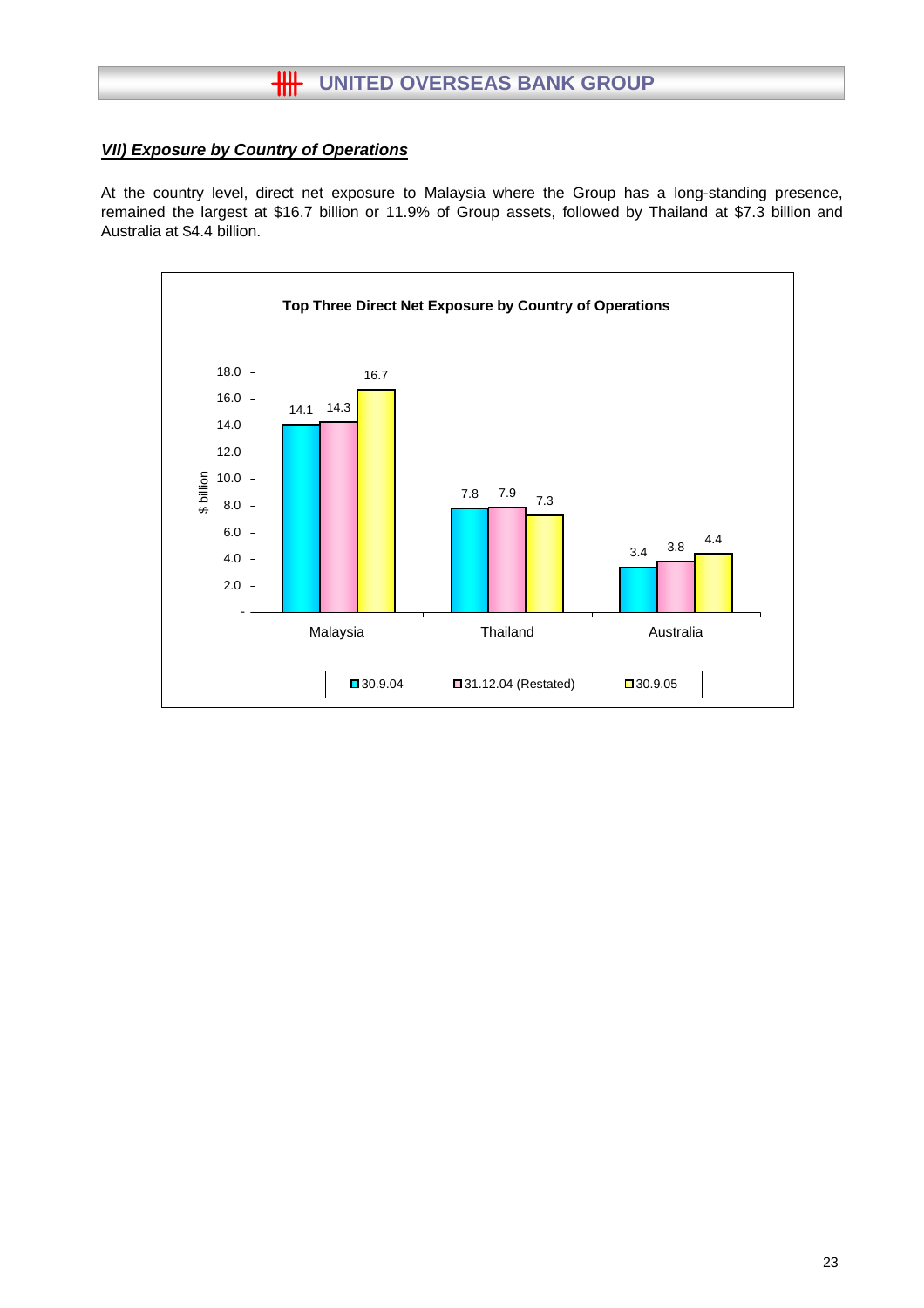# **HH** UNITED OVERSEAS BANK GROUP

## *VII) Exposure by Country of Operations*

At the country level, direct net exposure to Malaysia where the Group has a long-standing presence, remained the largest at \$16.7 billion or 11.9% of Group assets, followed by Thailand at \$7.3 billion and Australia at \$4.4 billion.

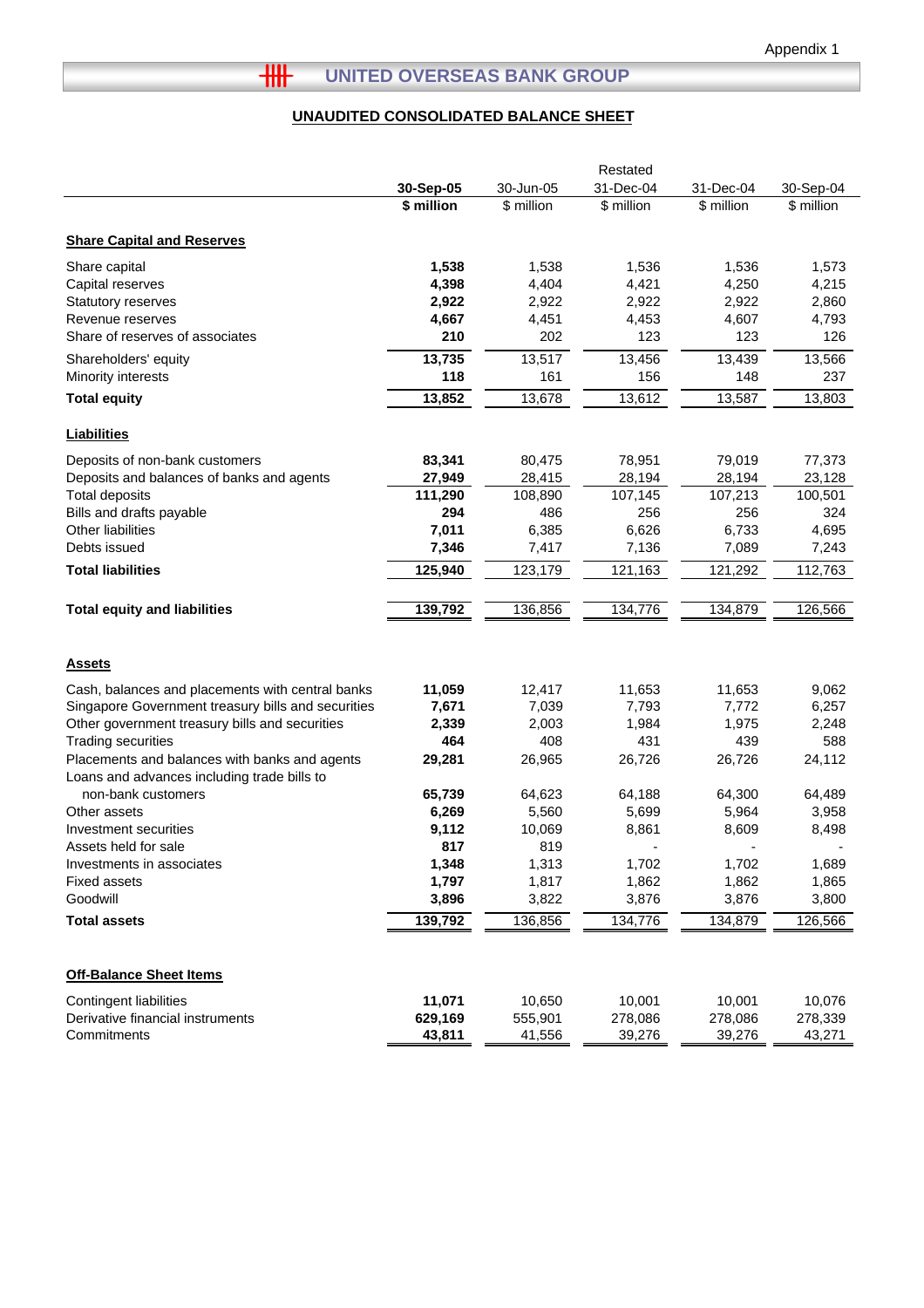# **HH** UNITED OVERSEAS BANK GROUP

## **UNAUDITED CONSOLIDATED BALANCE SHEET**

|                                                                                              |            |            | Restated   |            |            |
|----------------------------------------------------------------------------------------------|------------|------------|------------|------------|------------|
|                                                                                              | 30-Sep-05  | 30-Jun-05  | 31-Dec-04  | 31-Dec-04  | 30-Sep-04  |
|                                                                                              | \$ million | \$ million | \$ million | \$ million | \$ million |
|                                                                                              |            |            |            |            |            |
| <b>Share Capital and Reserves</b>                                                            |            |            |            |            |            |
| Share capital                                                                                | 1,538      | 1,538      | 1,536      | 1,536      | 1,573      |
| Capital reserves                                                                             | 4,398      | 4,404      | 4,421      | 4,250      | 4,215      |
| Statutory reserves                                                                           | 2,922      | 2,922      | 2,922      | 2,922      | 2,860      |
| Revenue reserves                                                                             | 4,667      | 4,451      | 4,453      | 4,607      | 4,793      |
| Share of reserves of associates                                                              | 210        | 202        | 123        | 123        | 126        |
| Shareholders' equity                                                                         | 13,735     | 13,517     | 13,456     | 13,439     | 13,566     |
| Minority interests                                                                           | 118        | 161        | 156        | 148        | 237        |
| <b>Total equity</b>                                                                          | 13,852     | 13,678     | 13,612     | 13,587     | 13,803     |
| <b>Liabilities</b>                                                                           |            |            |            |            |            |
| Deposits of non-bank customers                                                               | 83,341     | 80,475     | 78,951     | 79,019     | 77,373     |
| Deposits and balances of banks and agents                                                    | 27,949     | 28,415     | 28,194     | 28,194     | 23,128     |
| <b>Total deposits</b>                                                                        | 111,290    | 108,890    | 107,145    | 107,213    | 100,501    |
| Bills and drafts payable                                                                     | 294        | 486        | 256        | 256        | 324        |
| Other liabilities                                                                            | 7,011      | 6,385      | 6,626      | 6,733      | 4,695      |
| Debts issued                                                                                 | 7,346      | 7,417      | 7,136      | 7,089      | 7,243      |
| <b>Total liabilities</b>                                                                     | 125,940    | 123,179    | 121,163    | 121,292    | 112,763    |
| <b>Total equity and liabilities</b>                                                          | 139,792    | 136,856    | 134,776    | 134,879    | 126,566    |
|                                                                                              |            |            |            |            |            |
| <b>Assets</b>                                                                                |            |            |            |            |            |
|                                                                                              |            |            |            |            |            |
| Cash, balances and placements with central banks                                             | 11,059     | 12,417     | 11,653     | 11,653     | 9,062      |
| Singapore Government treasury bills and securities                                           | 7,671      | 7,039      | 7,793      | 7,772      | 6,257      |
| Other government treasury bills and securities                                               | 2,339      | 2,003      | 1,984      | 1,975      | 2,248      |
| <b>Trading securities</b>                                                                    | 464        | 408        | 431        | 439        | 588        |
| Placements and balances with banks and agents<br>Loans and advances including trade bills to | 29,281     | 26,965     | 26,726     | 26,726     | 24,112     |
| non-bank customers                                                                           | 65,739     | 64,623     | 64,188     | 64,300     | 64,489     |
| Other assets                                                                                 | 6,269      | 5,560      | 5,699      | 5,964      | 3,958      |
| Investment securities                                                                        | 9,112      | 10,069     | 8,861      | 8,609      | 8,498      |
| Assets held for sale                                                                         | 817        | 819        |            |            |            |
| Investments in associates                                                                    | 1,348      | 1,313      | 1,702      | 1,702      | 1,689      |
| <b>Fixed assets</b>                                                                          | 1,797      | 1,817      | 1,862      | 1,862      | 1,865      |
| Goodwill                                                                                     | 3,896      | 3,822      | 3,876      | 3,876      | 3,800      |
| <b>Total assets</b>                                                                          | 139,792    | 136,856    | 134,776    | 134,879    | 126,566    |
|                                                                                              |            |            |            |            |            |
| <b>Off-Balance Sheet Items</b>                                                               |            |            |            |            |            |
| <b>Contingent liabilities</b>                                                                | 11,071     | 10,650     | 10,001     | 10,001     | 10,076     |
| Derivative financial instruments                                                             | 629,169    | 555,901    | 278,086    | 278,086    | 278,339    |
| Commitments                                                                                  | 43,811     | 41,556     | 39,276     | 39,276     | 43,271     |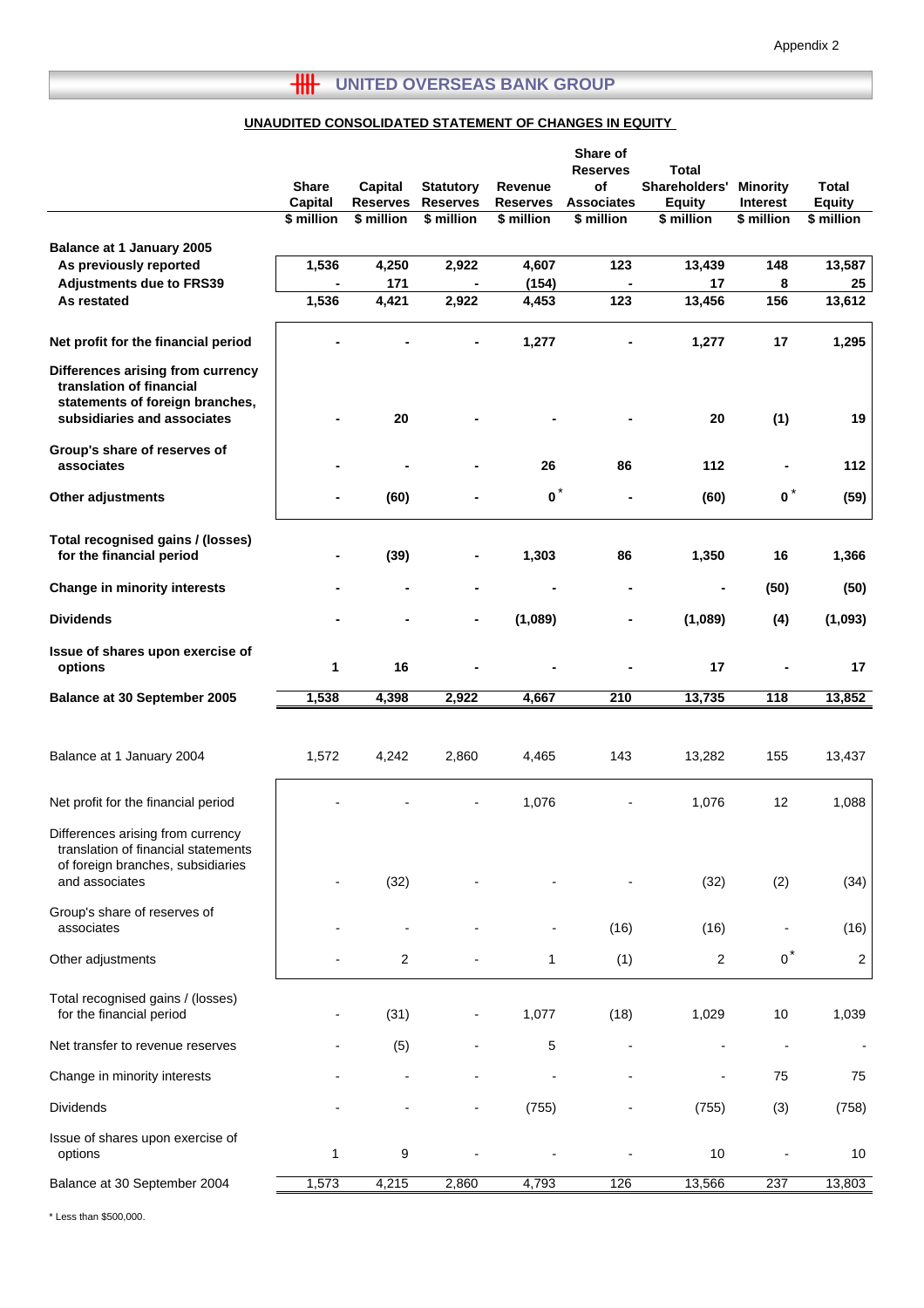# **THE UNITED OVERSEAS BANK GROUP**

## **UNAUDITED CONSOLIDATED STATEMENT OF CHANGES IN EQUITY**

|                                                                                                                                 | <b>Share</b>   |                                   |                                     |                            | Share of<br><b>Reserves</b><br>of | <b>Total</b><br>Shareholders' |                                    | <b>Total</b>   |
|---------------------------------------------------------------------------------------------------------------------------------|----------------|-----------------------------------|-------------------------------------|----------------------------|-----------------------------------|-------------------------------|------------------------------------|----------------|
|                                                                                                                                 | <b>Capital</b> | <b>Capital</b><br><b>Reserves</b> | <b>Statutory</b><br><b>Reserves</b> | Revenue<br><b>Reserves</b> | <b>Associates</b>                 | <b>Equity</b>                 | <b>Minority</b><br><b>Interest</b> | <b>Equity</b>  |
|                                                                                                                                 | \$ million     | \$ million                        | \$ million                          | \$ million                 | \$ million                        | \$ million                    | \$ million                         | \$ million     |
| Balance at 1 January 2005                                                                                                       |                |                                   |                                     |                            |                                   |                               |                                    |                |
| As previously reported                                                                                                          | 1,536          | 4,250                             | 2,922                               | 4,607                      | 123                               | 13,439                        | 148                                | 13,587         |
| <b>Adjustments due to FRS39</b>                                                                                                 |                | 171                               |                                     | (154)                      |                                   | 17                            | 8                                  | 25             |
| As restated                                                                                                                     | 1,536          | 4,421                             | 2,922                               | 4,453                      | 123                               | 13,456                        | 156                                | 13,612         |
| Net profit for the financial period                                                                                             |                |                                   |                                     | 1,277                      |                                   | 1,277                         | 17                                 | 1,295          |
| Differences arising from currency<br>translation of financial<br>statements of foreign branches,<br>subsidiaries and associates |                | 20                                |                                     |                            |                                   | 20                            | (1)                                | 19             |
| Group's share of reserves of<br>associates                                                                                      |                |                                   |                                     | 26                         | 86                                | 112                           |                                    | 112            |
| Other adjustments                                                                                                               | $\blacksquare$ | (60)                              |                                     | $\bullet^*$                |                                   | (60)                          | $0^*$                              | (59)           |
| Total recognised gains / (losses)<br>for the financial period                                                                   |                | (39)                              |                                     | 1,303                      | 86                                | 1,350                         | 16                                 | 1,366          |
| <b>Change in minority interests</b>                                                                                             |                |                                   | $\blacksquare$                      |                            | $\blacksquare$                    | $\blacksquare$                | (50)                               | (50)           |
| <b>Dividends</b>                                                                                                                |                |                                   |                                     | (1,089)                    |                                   | (1,089)                       | (4)                                | (1,093)        |
| Issue of shares upon exercise of<br>options                                                                                     | 1              | 16                                |                                     |                            |                                   | 17                            |                                    | 17             |
| Balance at 30 September 2005                                                                                                    | 1,538          | 4,398                             | 2,922                               | 4,667                      | 210                               | 13,735                        | $\overline{118}$                   | 13,852         |
|                                                                                                                                 |                |                                   |                                     |                            |                                   |                               |                                    |                |
| Balance at 1 January 2004                                                                                                       | 1,572          | 4,242                             | 2,860                               | 4,465                      | 143                               | 13,282                        | 155                                | 13,437         |
| Net profit for the financial period                                                                                             |                |                                   |                                     | 1,076                      |                                   | 1,076                         | 12                                 | 1,088          |
| Differences arising from currency<br>translation of financial statements<br>of foreign branches, subsidiaries                   |                |                                   |                                     |                            |                                   |                               |                                    |                |
| and associates                                                                                                                  |                | (32)                              |                                     |                            |                                   | (32)                          | (2)                                | (34)           |
| Group's share of reserves of<br>associates                                                                                      |                |                                   |                                     |                            | (16)                              | (16)                          |                                    | (16)           |
| Other adjustments                                                                                                               |                | 2                                 |                                     | 1                          | (1)                               | $\overline{c}$                | $0^*$                              | $\overline{c}$ |
| Total recognised gains / (losses)<br>for the financial period                                                                   |                | (31)                              |                                     | 1,077                      | (18)                              | 1,029                         | 10                                 | 1,039          |
| Net transfer to revenue reserves                                                                                                |                | (5)                               |                                     | 5                          |                                   |                               |                                    |                |
| Change in minority interests                                                                                                    |                |                                   |                                     |                            |                                   |                               | 75                                 | 75             |
| <b>Dividends</b>                                                                                                                |                |                                   |                                     | (755)                      |                                   | (755)                         | (3)                                | (758)          |
| Issue of shares upon exercise of<br>options                                                                                     | 1              | 9                                 |                                     |                            |                                   | 10                            |                                    | 10             |
| Balance at 30 September 2004                                                                                                    | 1,573          | 4,215                             | 2,860                               | 4,793                      | 126                               | 13,566                        | 237                                | 13,803         |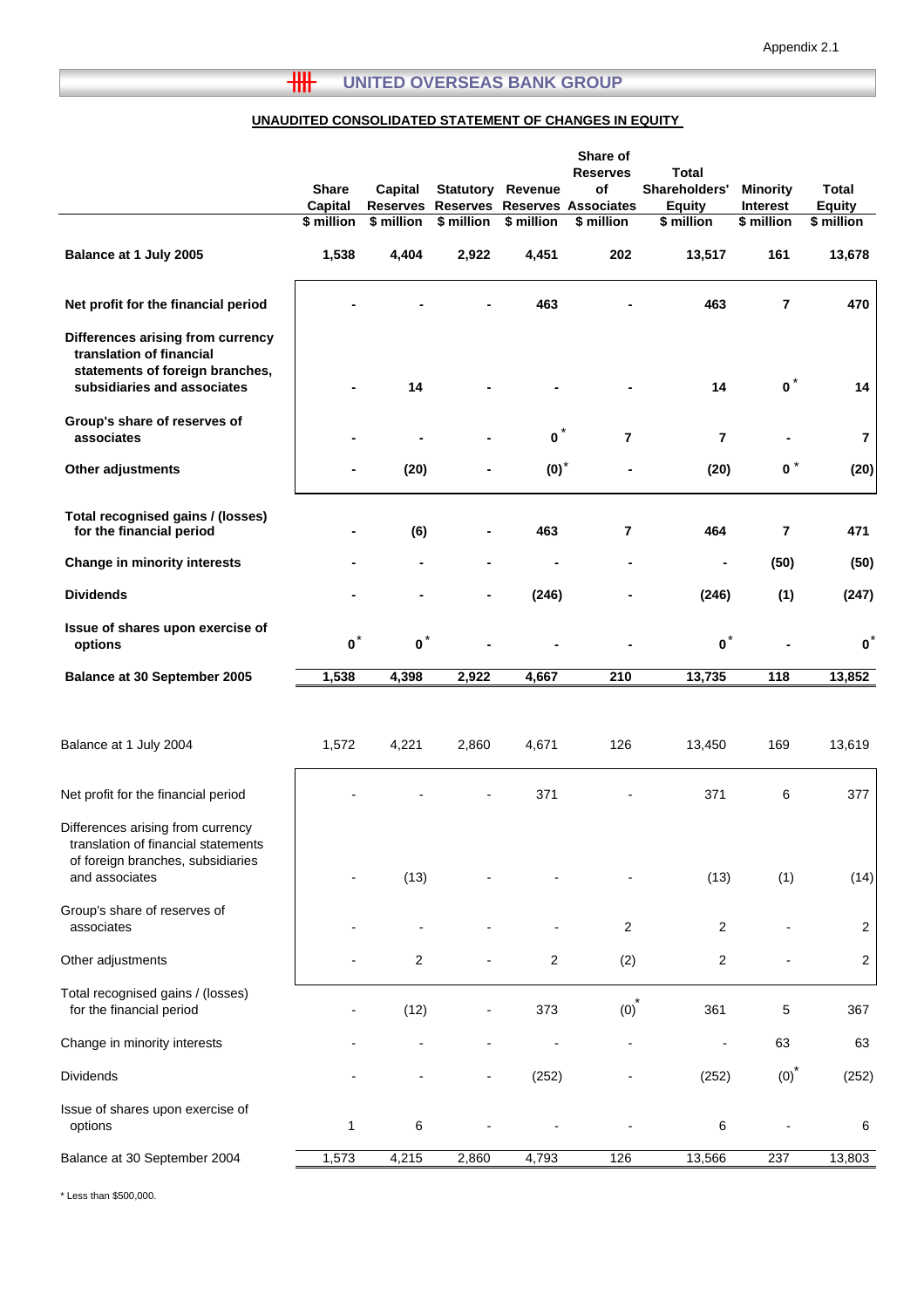# **THE UNITED OVERSEAS BANK GROUP**

#### **UNAUDITED CONSOLIDATED STATEMENT OF CHANGES IN EQUITY**

|                                                                                                                                 | <b>Share</b><br>Capital<br>\$ million | <b>Capital</b><br><b>Reserves</b><br>\$ million | <b>Statutory</b><br>\$ million | Revenue<br>\$ million | Share of<br><b>Reserves</b><br>of<br>Reserves Reserves Associates<br>\$ million | <b>Total</b><br>Shareholders'<br><b>Equity</b><br>\$ million | <b>Minority</b><br><b>Interest</b><br>\$ million | <b>Total</b><br><b>Equity</b><br>\$ million |
|---------------------------------------------------------------------------------------------------------------------------------|---------------------------------------|-------------------------------------------------|--------------------------------|-----------------------|---------------------------------------------------------------------------------|--------------------------------------------------------------|--------------------------------------------------|---------------------------------------------|
| Balance at 1 July 2005                                                                                                          | 1,538                                 | 4,404                                           | 2,922                          | 4,451                 | 202                                                                             | 13,517                                                       | 161                                              | 13,678                                      |
|                                                                                                                                 |                                       |                                                 |                                |                       |                                                                                 |                                                              |                                                  |                                             |
| Net profit for the financial period                                                                                             |                                       |                                                 |                                | 463                   |                                                                                 | 463                                                          | $\overline{7}$                                   | 470                                         |
| Differences arising from currency<br>translation of financial<br>statements of foreign branches,<br>subsidiaries and associates |                                       | 14                                              |                                |                       |                                                                                 | 14                                                           | $\mathbf{0}$                                     | 14                                          |
| Group's share of reserves of<br>associates                                                                                      |                                       |                                                 |                                | $\bullet^*$           | $\overline{7}$                                                                  | $\overline{7}$                                               |                                                  | $\overline{7}$                              |
| Other adjustments                                                                                                               |                                       | (20)                                            |                                | $(0)*$                |                                                                                 | (20)                                                         | $\mathbf{0}^*$                                   | (20)                                        |
| Total recognised gains / (losses)<br>for the financial period                                                                   |                                       | (6)                                             | $\blacksquare$                 | 463                   | $\overline{\mathbf{r}}$                                                         | 464                                                          | $\overline{7}$                                   | 471                                         |
| Change in minority interests                                                                                                    |                                       | $\blacksquare$                                  | $\blacksquare$                 | -                     | ۰                                                                               |                                                              | (50)                                             | (50)                                        |
| <b>Dividends</b>                                                                                                                |                                       |                                                 |                                | (246)                 |                                                                                 | (246)                                                        | (1)                                              | (247)                                       |
| Issue of shares upon exercise of<br>options                                                                                     | $\mathbf{o}^*$                        | $\mathbf{o}^*$                                  |                                |                       |                                                                                 | $\mathbf{o}^*$                                               |                                                  | $\mathbf{0}^*$                              |
| <b>Balance at 30 September 2005</b>                                                                                             | 1,538                                 | 4,398                                           | 2,922                          | 4,667                 | 210                                                                             | 13,735                                                       | 118                                              | 13,852                                      |
| Balance at 1 July 2004                                                                                                          | 1,572                                 | 4,221                                           | 2,860                          | 4,671                 | 126                                                                             | 13,450                                                       | 169                                              | 13,619                                      |
| Net profit for the financial period                                                                                             |                                       |                                                 |                                | 371                   |                                                                                 | 371                                                          | 6                                                | 377                                         |
| Differences arising from currency<br>translation of financial statements<br>of foreign branches, subsidiaries<br>and associates |                                       | (13)                                            |                                |                       |                                                                                 | (13)                                                         | (1)                                              | (14)                                        |
| Group's share of reserves of<br>associates                                                                                      |                                       |                                                 |                                |                       | $\overline{c}$                                                                  | $\overline{2}$                                               |                                                  | $\overline{2}$                              |
| Other adjustments                                                                                                               |                                       | 2                                               |                                | $\overline{c}$        | (2)                                                                             | $\overline{\mathbf{c}}$                                      |                                                  | $\overline{2}$                              |
| Total recognised gains / (losses)<br>for the financial period                                                                   |                                       | (12)                                            |                                | 373                   | (0)                                                                             | 361                                                          | 5                                                | 367                                         |
| Change in minority interests                                                                                                    |                                       |                                                 | $\blacksquare$                 |                       |                                                                                 |                                                              | 63                                               | 63                                          |
| <b>Dividends</b>                                                                                                                |                                       |                                                 | $\overline{a}$                 | (252)                 |                                                                                 | (252)                                                        | $(0)*$                                           | (252)                                       |
| Issue of shares upon exercise of<br>options                                                                                     | 1                                     | 6                                               |                                |                       |                                                                                 | 6                                                            |                                                  | 6                                           |
| Balance at 30 September 2004                                                                                                    | 1,573                                 | 4,215                                           | 2,860                          | 4,793                 | 126                                                                             | 13,566                                                       | 237                                              | 13,803                                      |